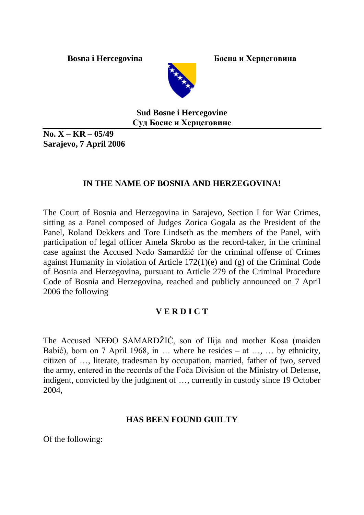**Bosna i Hercegovina** Босна и Херцеговина



**Sud Bosne i Hercegovine Суд Босне и Херцеговине**

**No. X – KR – 05/49 Sarajevo, 7 April 2006**

# **IN THE NAME OF BOSNIA AND HERZEGOVINA!**

The Court of Bosnia and Herzegovina in Sarajevo, Section I for War Crimes, sitting as a Panel composed of Judges Zorica Gogala as the President of the Panel, Roland Dekkers and Tore Lindseth as the members of the Panel, with participation of legal officer Amela Skrobo as the record-taker, in the criminal case against the Accused Neđo Samardžić for the criminal offense of Crimes against Humanity in violation of Article 172(1)(e) and (g) of the Criminal Code of Bosnia and Herzegovina, pursuant to Article 279 of the Criminal Procedure Code of Bosnia and Herzegovina, reached and publicly announced on 7 April 2006 the following

# **V E R D I C T**

The Accused NEĐO SAMARDŽIĆ, son of Ilija and mother Kosa (maiden Babić), born on 7 April 1968, in … where he resides – at …, … by ethnicity, citizen of …, literate, tradesman by occupation, married, father of two, served the army, entered in the records of the Foča Division of the Ministry of Defense, indigent, convicted by the judgment of …, currently in custody since 19 October 2004,

#### **HAS BEEN FOUND GUILTY**

Of the following: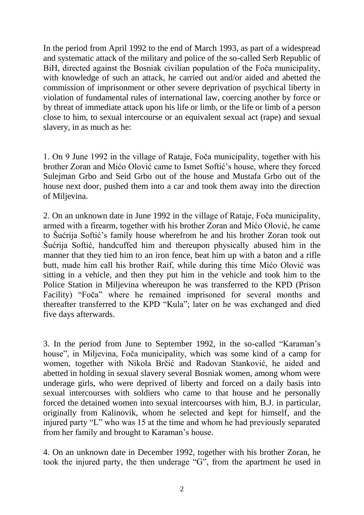In the period from April 1992 to the end of March 1993, as part of a widespread and systematic attack of the military and police of the so-called Serb Republic of BiH, directed against the Bosniak civilian population of the Foča municipality, with knowledge of such an attack, he carried out and/or aided and abetted the commission of imprisonment or other severe deprivation of psychical liberty in violation of fundamental rules of international law, coercing another by force or by threat of immediate attack upon his life or limb, or the life or limb of a person close to him, to sexual intercourse or an equivalent sexual act (rape) and sexual slavery, in as much as he:

1. On 9 June 1992 in the village of Rataje, Foča municipality, together with his brother Zoran and Mićo Olović came to Ismet Softić's house, where they forced Sulejman Grbo and Seid Grbo out of the house and Mustafa Grbo out of the house next door, pushed them into a car and took them away into the direction of Miljevina.

2. On an unknown date in June 1992 in the village of Rataje, Foča municipality, armed with a firearm, together with his brother Zoran and Mićo Olović, he came to Šućrija Softić's family house wherefrom he and his brother Zoran took out Šućrija Softić, handcuffed him and thereupon physically abused him in the manner that they tied him to an iron fence, beat him up with a baton and a rifle butt, made him call his brother Raif, while during this time Mićo Olović was sitting in a vehicle, and then they put him in the vehicle and took him to the Police Station in Miljevina whereupon he was transferred to the KPD (Prison Facility) "Foča" where he remained imprisoned for several months and thereafter transferred to the KPD "Kula"; later on he was exchanged and died five days afterwards.

3. In the period from June to September 1992, in the so-called "Karaman's house", in Miljevina, Foča municipality, which was some kind of a camp for women, together with Nikola Brčić and Radovan Stanković, he aided and abetted in holding in sexual slavery several Bosniak women, among whom were underage girls, who were deprived of liberty and forced on a daily basis into sexual intercourses with soldiers who came to that house and he personally forced the detained women into sexual intercourses with him, B.J. in particular, originally from Kalinovik, whom he selected and kept for himself, and the injured party "L" who was 15 at the time and whom he had previously separated from her family and brought to Karaman's house.

4. On an unknown date in December 1992, together with his brother Zoran, he took the injured party, the then underage "G", from the apartment he used in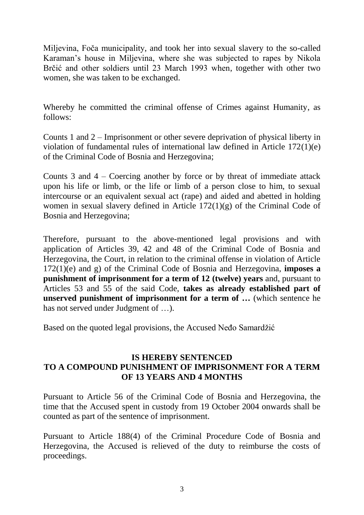Miljevina, Foča municipality, and took her into sexual slavery to the so-called Karaman's house in Miljevina, where she was subjected to rapes by Nikola Brčić and other soldiers until 23 March 1993 when, together with other two women, she was taken to be exchanged.

Whereby he committed the criminal offense of Crimes against Humanity, as follows:

Counts 1 and 2 – Imprisonment or other severe deprivation of physical liberty in violation of fundamental rules of international law defined in Article 172(1)(e) of the Criminal Code of Bosnia and Herzegovina;

Counts 3 and 4 – Coercing another by force or by threat of immediate attack upon his life or limb, or the life or limb of a person close to him, to sexual intercourse or an equivalent sexual act (rape) and aided and abetted in holding women in sexual slavery defined in Article 172(1)(g) of the Criminal Code of Bosnia and Herzegovina;

Therefore, pursuant to the above-mentioned legal provisions and with application of Articles 39, 42 and 48 of the Criminal Code of Bosnia and Herzegovina, the Court, in relation to the criminal offense in violation of Article 172(1)(e) and g) of the Criminal Code of Bosnia and Herzegovina, **imposes a punishment of imprisonment for a term of 12 (twelve) years** and, pursuant to Articles 53 and 55 of the said Code, **takes as already established part of unserved punishment of imprisonment for a term of …** (which sentence he has not served under Judgment of ...

Based on the quoted legal provisions, the Accused Neđo Samardžić

### **IS HEREBY SENTENCED TO A COMPOUND PUNISHMENT OF IMPRISONMENT FOR A TERM OF 13 YEARS AND 4 MONTHS**

Pursuant to Article 56 of the Criminal Code of Bosnia and Herzegovina, the time that the Accused spent in custody from 19 October 2004 onwards shall be counted as part of the sentence of imprisonment.

Pursuant to Article 188(4) of the Criminal Procedure Code of Bosnia and Herzegovina, the Accused is relieved of the duty to reimburse the costs of proceedings.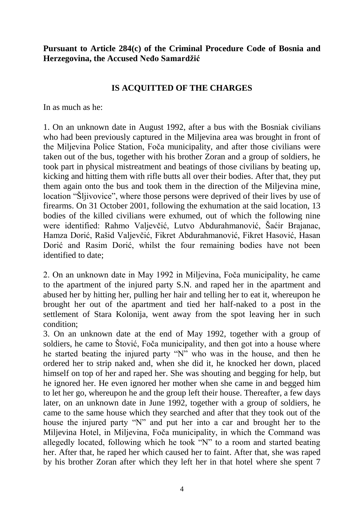#### **Pursuant to Article 284(c) of the Criminal Procedure Code of Bosnia and Herzegovina, the Accused Neđo Samardžić**

### **IS ACQUITTED OF THE CHARGES**

In as much as he:

1. On an unknown date in August 1992, after a bus with the Bosniak civilians who had been previously captured in the Miljevina area was brought in front of the Miljevina Police Station, Foča municipality, and after those civilians were taken out of the bus, together with his brother Zoran and a group of soldiers, he took part in physical mistreatment and beatings of those civilians by beating up, kicking and hitting them with rifle butts all over their bodies. After that, they put them again onto the bus and took them in the direction of the Miljevina mine, location "Šljivovice", where those persons were deprived of their lives by use of firearms. On 31 October 2001, following the exhumation at the said location, 13 bodies of the killed civilians were exhumed, out of which the following nine were identified: Rahmo Valjevčić, Lutvo Abdurahmanović, Šaćir Brajanac, Hamza Dorić, Rašid Valjevčić, Fikret Abdurahmanović, Fikret Hasović, Hasan Dorić and Rasim Dorić, whilst the four remaining bodies have not been identified to date;

2. On an unknown date in May 1992 in Miljevina, Foča municipality, he came to the apartment of the injured party S.N. and raped her in the apartment and abused her by hitting her, pulling her hair and telling her to eat it, whereupon he brought her out of the apartment and tied her half-naked to a post in the settlement of Stara Kolonija, went away from the spot leaving her in such condition;

3. On an unknown date at the end of May 1992, together with a group of soldiers, he came to Štović, Foča municipality, and then got into a house where he started beating the injured party "N" who was in the house, and then he ordered her to strip naked and, when she did it, he knocked her down, placed himself on top of her and raped her. She was shouting and begging for help, but he ignored her. He even ignored her mother when she came in and begged him to let her go, whereupon he and the group left their house. Thereafter, a few days later, on an unknown date in June 1992, together with a group of soldiers, he came to the same house which they searched and after that they took out of the house the injured party "N" and put her into a car and brought her to the Miljevina Hotel, in Miljevina, Foča municipality, in which the Command was allegedly located, following which he took "N" to a room and started beating her. After that, he raped her which caused her to faint. After that, she was raped by his brother Zoran after which they left her in that hotel where she spent 7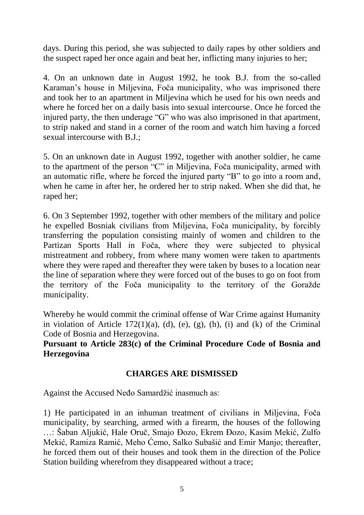days. During this period, she was subjected to daily rapes by other soldiers and the suspect raped her once again and beat her, inflicting many injuries to her;

4. On an unknown date in August 1992, he took B.J. from the so-called Karaman's house in Miljevina, Foča municipality, who was imprisoned there and took her to an apartment in Miljevina which he used for his own needs and where he forced her on a daily basis into sexual intercourse. Once he forced the injured party, the then underage "G" who was also imprisoned in that apartment, to strip naked and stand in a corner of the room and watch him having a forced sexual intercourse with B.J.;

5. On an unknown date in August 1992, together with another soldier, he came to the apartment of the person "C" in Miljevina, Foča municipality, armed with an automatic rifle, where he forced the injured party "B" to go into a room and, when he came in after her, he ordered her to strip naked. When she did that, he raped her;

6. On 3 September 1992, together with other members of the military and police he expelled Bosniak civilians from Miljevina, Foča municipality, by forcibly transferring the population consisting mainly of women and children to the Partizan Sports Hall in Foča, where they were subjected to physical mistreatment and robbery, from where many women were taken to apartments where they were raped and thereafter they were taken by buses to a location near the line of separation where they were forced out of the buses to go on foot from the territory of the Foča municipality to the territory of the Goražde municipality.

Whereby he would commit the criminal offense of War Crime against Humanity in violation of Article  $172(1)(a)$ , (d), (e), (g), (h), (i) and (k) of the Criminal Code of Bosnia and Herzegovina.

**Pursuant to Article 283(c) of the Criminal Procedure Code of Bosnia and Herzegovina**

# **CHARGES ARE DISMISSED**

Against the Accused Neđo Samardžić inasmuch as:

1) He participated in an inhuman treatment of civilians in Miljevina, Foča municipality, by searching, armed with a firearm, the houses of the following …: Šaban Aljukić, Hale Oruč, Smajo Đozo, Ekrem Đozo, Kasim Mekić, Zulfo Mekić, Ramiza Ramić, Meho Ćemo, Salko Subašić and Emir Manjo; thereafter, he forced them out of their houses and took them in the direction of the Police Station building wherefrom they disappeared without a trace;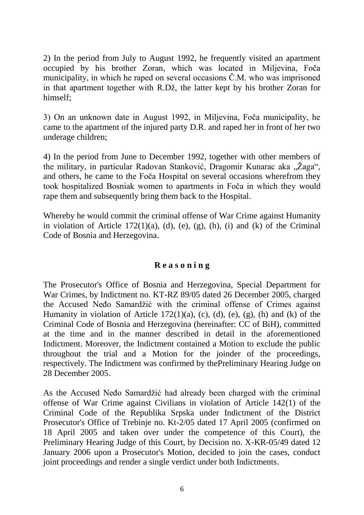2) In the period from July to August 1992, he frequently visited an apartment occupied by his brother Zoran, which was located in Miljevina, Foča municipality, in which he raped on several occasions Č.M. who was imprisoned in that apartment together with R.Dž, the latter kept by his brother Zoran for himself;

3) On an unknown date in August 1992, in Miljevina, Foča municipality, he came to the apartment of the injured party D.R. and raped her in front of her two underage children;

4) In the period from June to December 1992, together with other members of the military, in particular Radovan Stanković, Dragomir Kunarac aka "Žaga", and others, he came to the Foča Hospital on several occasions wherefrom they took hospitalized Bosniak women to apartments in Foča in which they would rape them and subsequently bring them back to the Hospital.

Whereby he would commit the criminal offense of War Crime against Humanity in violation of Article  $172(1)(a)$ , (d), (e), (g), (h), (i) and (k) of the Criminal Code of Bosnia and Herzegovina.

# **R e a s o n i n g**

The Prosecutor's Office of Bosnia and Herzegovina, Special Department for War Crimes, by Indictment no. KT-RZ 89/05 dated 26 December 2005, charged the Accused Neđo Samardžić with the criminal offense of Crimes against Humanity in violation of Article  $172(1)(a)$ , (c), (d), (e), (g), (h) and (k) of the Criminal Code of Bosnia and Herzegovina (hereinafter: CC of BiH), committed at the time and in the manner described in detail in the aforementioned Indictment. Moreover, the Indictment contained a Motion to exclude the public throughout the trial and a Motion for the joinder of the proceedings, respectively. The Indictment was confirmed by thePreliminary Hearing Judge on 28 December 2005.

As the Accused Neđo Samardžić had already been charged with the criminal offense of War Crime against Civilians in violation of Article 142(1) of the Criminal Code of the Republika Srpska under Indictment of the District Prosecutor's Office of Trebinje no. Kt-2/05 dated 17 April 2005 (confirmed on 18 April 2005 and taken over under the competence of this Court), the Preliminary Hearing Judge of this Court, by Decision no. X-KR-05/49 dated 12 January 2006 upon a Prosecutor's Motion, decided to join the cases, conduct joint proceedings and render a single verdict under both Indictments.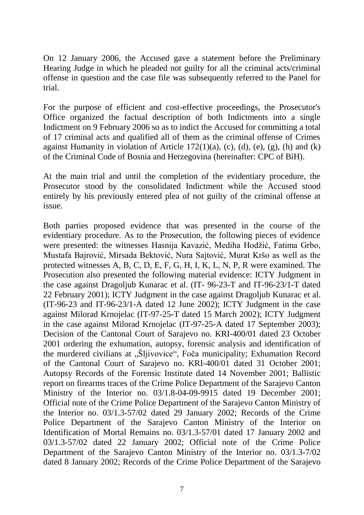On 12 January 2006, the Accused gave a statement before the Preliminary Hearing Judge in which he pleaded not guilty for all the criminal acts/criminal offense in question and the case file was subsequently referred to the Panel for trial.

For the purpose of efficient and cost-effective proceedings, the Prosecutor's Office organized the factual description of both Indictments into a single Indictment on 9 February 2006 so as to indict the Accused for committing a total of 17 criminal acts and qualified all of them as the criminal offense of Crimes against Humanity in violation of Article  $172(1)(a)$ , (c), (d), (e), (g), (h) and (k) of the Criminal Code of Bosnia and Herzegovina (hereinafter: CPC of BiH).

At the main trial and until the completion of the evidentiary procedure, the Prosecutor stood by the consolidated Indictment while the Accused stood entirely by his previously entered plea of not guilty of the criminal offense at issue.

Both parties proposed evidence that was presented in the course of the evidentiary procedure. As to the Prosecution, the following pieces of evidence were presented: the witnesses Hasnija Kavazić, Mediha Hodžić, Fatima Grbo, Mustafa Bajrović, Mirsada Bektović, Nura Sajtović, Murat Kršo as well as the protected witnesses A, B, C, D, E, F, G, H, I, K, L, N, P, R were examined. The Prosecution also presented the following material evidence: ICTY Judgment in the case against Dragoljub Kunarac et al. (IT- 96-23-T and IT-96-23/1-T dated 22 February 2001); ICTY Judgment in the case against Dragoljub Kunarac et al. (IT-96-23 and IT-96-23/1-A dated 12 June 2002); ICTY Judgment in the case against Milorad Krnojelac (IT-97-25-T dated 15 March 2002); ICTY Judgment in the case against Milorad Krnojelac (IT-97-25-A dated 17 September 2003); Decision of the Cantonal Court of Sarajevo no. KRI-400/01 dated 23 October 2001 ordering the exhumation, autopsy, forensic analysis and identification of the murdered civilians at "Šljivovice", Foča municipality; Exhumation Record of the Cantonal Court of Sarajevo no. KRI-400/01 dated 31 October 2001; Autopsy Records of the Forensic Institute dated 14 November 2001; Ballistic report on firearms traces of the Crime Police Department of the Sarajevo Canton Ministry of the Interior no. 03/1.8-04-09-9915 dated 19 December 2001; Official note of the Crime Police Department of the Sarajevo Canton Ministry of the Interior no. 03/1.3-57/02 dated 29 January 2002; Records of the Crime Police Department of the Sarajevo Canton Ministry of the Interior on Identification of Mortal Remains no. 03/1.3-57/01 dated 17 January 2002 and 03/1.3-57/02 dated 22 January 2002; Official note of the Crime Police Department of the Sarajevo Canton Ministry of the Interior no. 03/1.3-7/02 dated 8 January 2002; Records of the Crime Police Department of the Sarajevo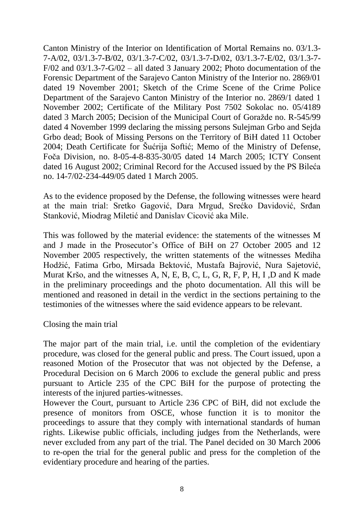Canton Ministry of the Interior on Identification of Mortal Remains no. 03/1.3- 7-A/02, 03/1.3-7-B/02, 03/1.3-7-C/02, 03/1.3-7-D/02, 03/1.3-7-E/02, 03/1.3-7-  $F/02$  and  $03/1.3$ -7-G/02 – all dated 3 January 2002; Photo documentation of the Forensic Department of the Sarajevo Canton Ministry of the Interior no. 2869/01 dated 19 November 2001; Sketch of the Crime Scene of the Crime Police Department of the Sarajevo Canton Ministry of the Interior no. 2869/1 dated 1 November 2002; Certificate of the Military Post 7502 Sokolac no. 05/4189 dated 3 March 2005; Decision of the Municipal Court of Goražde no. R-545/99 dated 4 November 1999 declaring the missing persons Sulejman Grbo and Sejda Grbo dead; Book of Missing Persons on the Territory of BiH dated 11 October 2004; Death Certificate for Šućrija Softić; Memo of the Ministry of Defense, Foča Division, no. 8-05-4-8-835-30/05 dated 14 March 2005; ICTY Consent dated 16 August 2002; Criminal Record for the Accused issued by the PS Bileća no. 14-7/02-234-449/05 dated 1 March 2005.

As to the evidence proposed by the Defense, the following witnesses were heard at the main trial: Sretko Gagović, Dara Mrgud, Srećko Davidović, Srđan Stanković, Miodrag Miletić and Danislav Cicović aka Mile.

This was followed by the material evidence: the statements of the witnesses M and J made in the Prosecutor's Office of BiH on 27 October 2005 and 12 November 2005 respectively, the written statements of the witnesses Mediha Hodžić, Fatima Grbo, Mirsada Bektović, Mustafa Bajrović, Nura Sajetović, Murat Kršo, and the witnesses A, N, E, B, C, L, G, R, F, P, H, I ,D and K made in the preliminary proceedings and the photo documentation. All this will be mentioned and reasoned in detail in the verdict in the sections pertaining to the testimonies of the witnesses where the said evidence appears to be relevant.

Closing the main trial

The major part of the main trial, i.e. until the completion of the evidentiary procedure, was closed for the general public and press. The Court issued, upon a reasoned Motion of the Prosecutor that was not objected by the Defense, a Procedural Decision on 6 March 2006 to exclude the general public and press pursuant to Article 235 of the CPC BiH for the purpose of protecting the interests of the injured parties-witnesses.

However the Court, pursuant to Article 236 CPC of BiH, did not exclude the presence of monitors from OSCE, whose function it is to monitor the proceedings to assure that they comply with international standards of human rights. Likewise public officials, including judges from the Netherlands, were never excluded from any part of the trial. The Panel decided on 30 March 2006 to re-open the trial for the general public and press for the completion of the evidentiary procedure and hearing of the parties.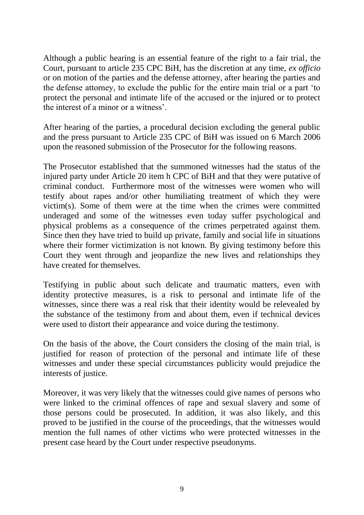Although a public hearing is an essential feature of the right to a fair trial, the Court, pursuant to article 235 CPC BiH, has the discretion at any time, *ex officio* or on motion of the parties and the defense attorney, after hearing the parties and the defense attorney, to exclude the public for the entire main trial or a part 'to protect the personal and intimate life of the accused or the injured or to protect the interest of a minor or a witness'.

After hearing of the parties, a procedural decision excluding the general public and the press pursuant to Article 235 CPC of BiH was issued on 6 March 2006 upon the reasoned submission of the Prosecutor for the following reasons.

The Prosecutor established that the summoned witnesses had the status of the injured party under Article 20 item h CPC of BiH and that they were putative of criminal conduct. Furthermore most of the witnesses were women who will testify about rapes and/or other humiliating treatment of which they were victim(s). Some of them were at the time when the crimes were committed underaged and some of the witnesses even today suffer psychological and physical problems as a consequence of the crimes perpetrated against them. Since then they have tried to build up private, family and social life in situations where their former victimization is not known. By giving testimony before this Court they went through and jeopardize the new lives and relationships they have created for themselves.

Testifying in public about such delicate and traumatic matters, even with identity protective measures, is a risk to personal and intimate life of the witnesses, since there was a real risk that their identity would be relevealed by the substance of the testimony from and about them, even if technical devices were used to distort their appearance and voice during the testimony.

On the basis of the above, the Court considers the closing of the main trial, is justified for reason of protection of the personal and intimate life of these witnesses and under these special circumstances publicity would prejudice the interests of justice.

Moreover, it was very likely that the witnesses could give names of persons who were linked to the criminal offences of rape and sexual slavery and some of those persons could be prosecuted. In addition, it was also likely, and this proved to be justified in the course of the proceedings, that the witnesses would mention the full names of other victims who were protected witnesses in the present case heard by the Court under respective pseudonyms.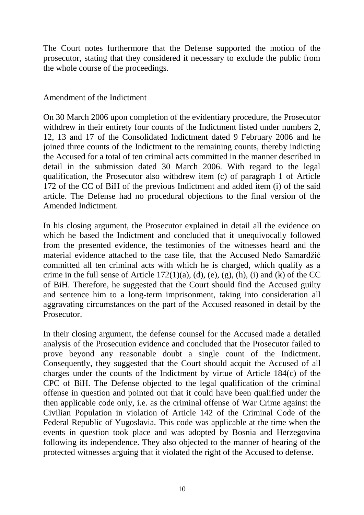The Court notes furthermore that the Defense supported the motion of the prosecutor, stating that they considered it necessary to exclude the public from the whole course of the proceedings.

#### Amendment of the Indictment

On 30 March 2006 upon completion of the evidentiary procedure, the Prosecutor withdrew in their entirety four counts of the Indictment listed under numbers 2, 12, 13 and 17 of the Consolidated Indictment dated 9 February 2006 and he joined three counts of the Indictment to the remaining counts, thereby indicting the Accused for a total of ten criminal acts committed in the manner described in detail in the submission dated 30 March 2006. With regard to the legal qualification, the Prosecutor also withdrew item (c) of paragraph 1 of Article 172 of the CC of BiH of the previous Indictment and added item (i) of the said article. The Defense had no procedural objections to the final version of the Amended Indictment.

In his closing argument, the Prosecutor explained in detail all the evidence on which he based the Indictment and concluded that it unequivocally followed from the presented evidence, the testimonies of the witnesses heard and the material evidence attached to the case file, that the Accused Neđo Samardžić committed all ten criminal acts with which he is charged, which qualify as a crime in the full sense of Article  $172(1)(a)$ ,  $(d)$ ,  $(e)$ ,  $(g)$ ,  $(h)$ ,  $(i)$  and  $(k)$  of the CC of BiH. Therefore, he suggested that the Court should find the Accused guilty and sentence him to a long-term imprisonment, taking into consideration all aggravating circumstances on the part of the Accused reasoned in detail by the **Prosecutor** 

In their closing argument, the defense counsel for the Accused made a detailed analysis of the Prosecution evidence and concluded that the Prosecutor failed to prove beyond any reasonable doubt a single count of the Indictment. Consequently, they suggested that the Court should acquit the Accused of all charges under the counts of the Indictment by virtue of Article 184(c) of the CPC of BiH. The Defense objected to the legal qualification of the criminal offense in question and pointed out that it could have been qualified under the then applicable code only, i.e. as the criminal offense of War Crime against the Civilian Population in violation of Article 142 of the Criminal Code of the Federal Republic of Yugoslavia. This code was applicable at the time when the events in question took place and was adopted by Bosnia and Herzegovina following its independence. They also objected to the manner of hearing of the protected witnesses arguing that it violated the right of the Accused to defense.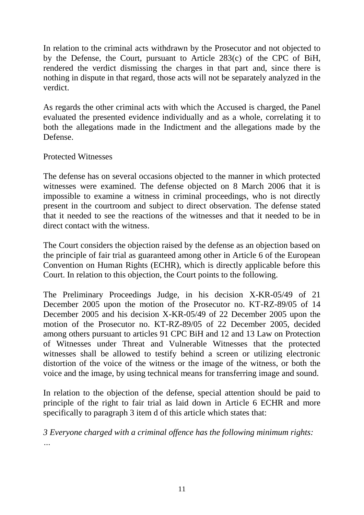In relation to the criminal acts withdrawn by the Prosecutor and not objected to by the Defense, the Court, pursuant to Article 283(c) of the CPC of BiH, rendered the verdict dismissing the charges in that part and, since there is nothing in dispute in that regard, those acts will not be separately analyzed in the verdict.

As regards the other criminal acts with which the Accused is charged, the Panel evaluated the presented evidence individually and as a whole, correlating it to both the allegations made in the Indictment and the allegations made by the Defense.

#### Protected Witnesses

The defense has on several occasions objected to the manner in which protected witnesses were examined. The defense objected on 8 March 2006 that it is impossible to examine a witness in criminal proceedings, who is not directly present in the courtroom and subject to direct observation. The defense stated that it needed to see the reactions of the witnesses and that it needed to be in direct contact with the witness.

The Court considers the objection raised by the defense as an objection based on the principle of fair trial as guaranteed among other in Article 6 of the European Convention on Human Rights (ECHR), which is directly applicable before this Court. In relation to this objection, the Court points to the following.

The Preliminary Proceedings Judge, in his decision X-KR-05/49 of 21 December 2005 upon the motion of the Prosecutor no. KT-RZ-89/05 of 14 December 2005 and his decision X-KR-05/49 of 22 December 2005 upon the motion of the Prosecutor no. KT-RZ-89/05 of 22 December 2005, decided among others pursuant to articles 91 CPC BiH and 12 and 13 Law on Protection of Witnesses under Threat and Vulnerable Witnesses that the protected witnesses shall be allowed to testify behind a screen or utilizing electronic distortion of the voice of the witness or the image of the witness, or both the voice and the image, by using technical means for transferring image and sound.

In relation to the objection of the defense, special attention should be paid to principle of the right to fair trial as laid down in Article 6 ECHR and more specifically to paragraph 3 item d of this article which states that:

*3 Everyone charged with a criminal offence has the following minimum rights: …*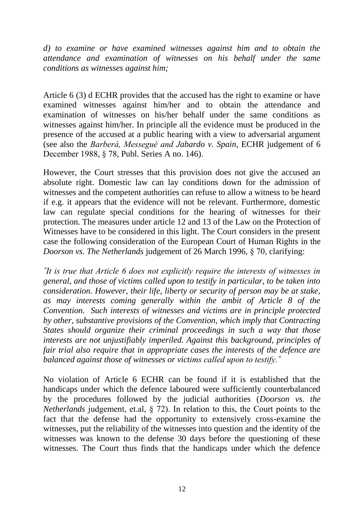*d) to examine or have examined witnesses against him and to obtain the attendance and examination of witnesses on his behalf under the same conditions as witnesses against him;*

Article 6 (3) d ECHR provides that the accused has the right to examine or have examined witnesses against him/her and to obtain the attendance and examination of witnesses on his/her behalf under the same conditions as witnesses against him/her. In principle all the evidence must be produced in the presence of the accused at a public hearing with a view to adversarial argument (see also the *Barberà, Messegué and Jabardo v. Spain*, ECHR judgement of 6 December 1988, § 78, Publ. Series A no. 146).

However, the Court stresses that this provision does not give the accused an absolute right. Domestic law can lay conditions down for the admission of witnesses and the competent authorities can refuse to allow a witness to be heard if e.g. it appears that the evidence will not be relevant. Furthermore, domestic law can regulate special conditions for the hearing of witnesses for their protection. The measures under article 12 and 13 of the Law on the Protection of Witnesses have to be considered in this light. The Court considers in the present case the following consideration of the European Court of Human Rights in the *Doorson vs. The Netherlands* judgement of 26 March 1996, § 70, clarifying:

*˝It is true that Article 6 does not explicitly require the interests of witnesses in general, and those of victims called upon to testify in particular, to be taken into consideration. However, their life, liberty or security of person may be at stake, as may interests coming generally within the ambit of Article 8 of the Convention. Such interests of witnesses and victims are in principle protected by other, substantive provisions of the Convention, which imply that Contracting States should organize their criminal proceedings in such a way that those interests are not unjustifiably imperiled. Against this background, principles of fair trial also require that in appropriate cases the interests of the defence are balanced against those of witnesses or victims called upon to testify.˝* 

No violation of Article 6 ECHR can be found if it is established that the handicaps under which the defence laboured were sufficiently counterbalanced by the procedures followed by the judicial authorities (*Doorson vs. the Netherlands* judgement, et.al, § 72). In relation to this, the Court points to the fact that the defense had the opportunity to extensively cross-examine the witnesses, put the reliability of the witnesses into question and the identity of the witnesses was known to the defense 30 days before the questioning of these witnesses. The Court thus finds that the handicaps under which the defence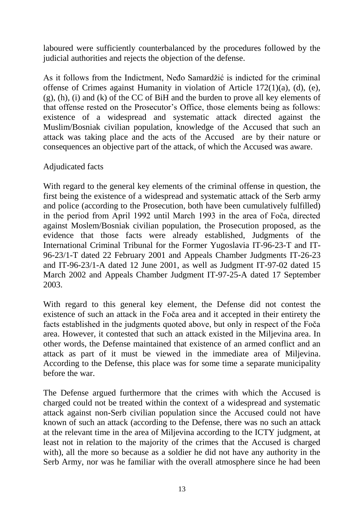laboured were sufficiently counterbalanced by the procedures followed by the judicial authorities and rejects the objection of the defense.

As it follows from the Indictment, Neđo Samardžić is indicted for the criminal offense of Crimes against Humanity in violation of Article 172(1)(a), (d), (e), (g), (h), (i) and (k) of the CC of BiH and the burden to prove all key elements of that offense rested on the Prosecutor's Office, those elements being as follows: existence of a widespread and systematic attack directed against the Muslim/Bosniak civilian population, knowledge of the Accused that such an attack was taking place and the acts of the Accused are by their nature or consequences an objective part of the attack, of which the Accused was aware.

#### Adjudicated facts

With regard to the general key elements of the criminal offense in question, the first being the existence of a widespread and systematic attack of the Serb army and police (according to the Prosecution, both have been cumulatively fulfilled) in the period from April 1992 until March 1993 in the area of Foča, directed against Moslem/Bosniak civilian population, the Prosecution proposed, as the evidence that those facts were already established, Judgments of the International Criminal Tribunal for the Former Yugoslavia IT-96-23-T and IT-96-23/1-T dated 22 February 2001 and Appeals Chamber Judgments IT-26-23 and IT-96-23/1-A dated 12 June 2001, as well as Judgment IT-97-02 dated 15 March 2002 and Appeals Chamber Judgment IT-97-25-A dated 17 September 2003.

With regard to this general key element, the Defense did not contest the existence of such an attack in the Foča area and it accepted in their entirety the facts established in the judgments quoted above, but only in respect of the Foča area. However, it contested that such an attack existed in the Miljevina area. In other words, the Defense maintained that existence of an armed conflict and an attack as part of it must be viewed in the immediate area of Miljevina. According to the Defense, this place was for some time a separate municipality before the war.

The Defense argued furthermore that the crimes with which the Accused is charged could not be treated within the context of a widespread and systematic attack against non-Serb civilian population since the Accused could not have known of such an attack (according to the Defense, there was no such an attack at the relevant time in the area of Miljevina according to the ICTY judgment, at least not in relation to the majority of the crimes that the Accused is charged with), all the more so because as a soldier he did not have any authority in the Serb Army, nor was he familiar with the overall atmosphere since he had been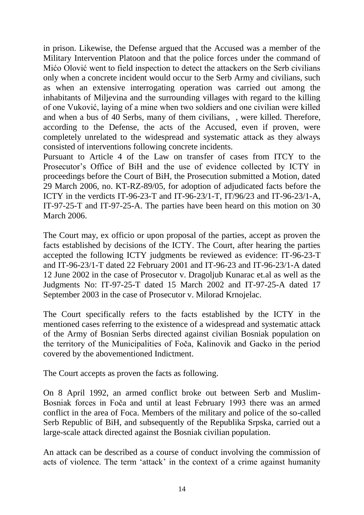in prison. Likewise, the Defense argued that the Accused was a member of the Military Intervention Platoon and that the police forces under the command of Mićo Olović went to field inspection to detect the attackers on the Serb civilians only when a concrete incident would occur to the Serb Army and civilians, such as when an extensive interrogating operation was carried out among the inhabitants of Miljevina and the surrounding villages with regard to the killing of one Vuković, laying of a mine when two soldiers and one civilian were killed and when a bus of 40 Serbs, many of them civilians, , were killed. Therefore, according to the Defense, the acts of the Accused, even if proven, were completely unrelated to the widespread and systematic attack as they always consisted of interventions following concrete incidents.

Pursuant to Article 4 of the Law on transfer of cases from ITCY to the Prosecutor's Office of BiH and the use of evidence collected by ICTY in proceedings before the Court of BiH, the Prosecution submitted a Motion, dated 29 March 2006, no. KT-RZ-89/05, for adoption of adjudicated facts before the ICTY in the verdicts IT-96-23-T and IT-96-23/1-T, IT/96/23 and IT-96-23/1-A, IT-97-25-T and IT-97-25-A. The parties have been heard on this motion on 30 March 2006.

The Court may, ex officio or upon proposal of the parties, accept as proven the facts established by decisions of the ICTY. The Court, after hearing the parties accepted the following ICTY judgments be reviewed as evidence: IT-96-23-T and IT-96-23/1-T dated 22 February 2001 and IT-96-23 and IT-96-23/1-A dated 12 June 2002 in the case of Prosecutor v. Dragoljub Kunarac et.al as well as the Judgments No: IT-97-25-T dated 15 March 2002 and IT-97-25-A dated 17 September 2003 in the case of Prosecutor v. Milorad Krnojelac.

The Court specifically refers to the facts established by the ICTY in the mentioned cases referring to the existence of a widespread and systematic attack of the Army of Bosnian Serbs directed against civilian Bosniak population on the territory of the Municipalities of Foča, Kalinovik and Gacko in the period covered by the abovementioned Indictment.

The Court accepts as proven the facts as following.

On 8 April 1992, an armed conflict broke out between Serb and Muslim-Bosniak forces in Foča and until at least February 1993 there was an armed conflict in the area of Foca. Members of the military and police of the so-called Serb Republic of BiH, and subsequently of the Republika Srpska, carried out a large-scale attack directed against the Bosniak civilian population.

An attack can be described as a course of conduct involving the commission of acts of violence. The term 'attack' in the context of a crime against humanity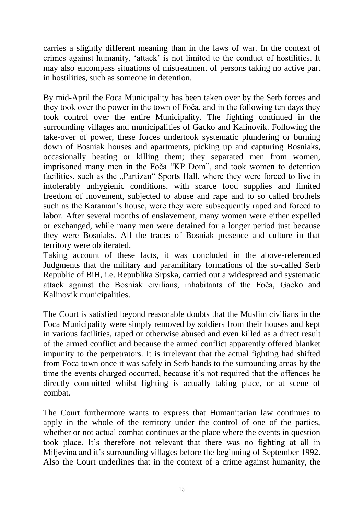carries a slightly different meaning than in the laws of war. In the context of crimes against humanity, 'attack' is not limited to the conduct of hostilities. It may also encompass situations of mistreatment of persons taking no active part in hostilities, such as someone in detention.

By mid-April the Foca Municipality has been taken over by the Serb forces and they took over the power in the town of Foča, and in the following ten days they took control over the entire Municipality. The fighting continued in the surrounding villages and municipalities of Gacko and Kalinovik. Following the take-over of power, these forces undertook systematic plundering or burning down of Bosniak houses and apartments, picking up and capturing Bosniaks, occasionally beating or killing them; they separated men from women, imprisoned many men in the Foča "KP Dom", and took women to detention facilities, such as the "Partizan" Sports Hall, where they were forced to live in intolerably unhygienic conditions, with scarce food supplies and limited freedom of movement, subjected to abuse and rape and to so called brothels such as the Karaman's house, were they were subsequently raped and forced to labor. After several months of enslavement, many women were either expelled or exchanged, while many men were detained for a longer period just because they were Bosniaks. All the traces of Bosniak presence and culture in that territory were obliterated.

Taking account of these facts, it was concluded in the above-referenced Judgments that the military and paramilitary formations of the so-called Serb Republic of BiH, i.e. Republika Srpska, carried out a widespread and systematic attack against the Bosniak civilians, inhabitants of the Foča, Gacko and Kalinovik municipalities.

The Court is satisfied beyond reasonable doubts that the Muslim civilians in the Foca Municipality were simply removed by soldiers from their houses and kept in various facilities, raped or otherwise abused and even killed as a direct result of the armed conflict and because the armed conflict apparently offered blanket impunity to the perpetrators. It is irrelevant that the actual fighting had shifted from Foca town once it was safely in Serb hands to the surrounding areas by the time the events charged occurred, because it's not required that the offences be directly committed whilst fighting is actually taking place, or at scene of combat.

The Court furthermore wants to express that Humanitarian law continues to apply in the whole of the territory under the control of one of the parties, whether or not actual combat continues at the place where the events in question took place. It's therefore not relevant that there was no fighting at all in Miljevina and it's surrounding villages before the beginning of September 1992. Also the Court underlines that in the context of a crime against humanity, the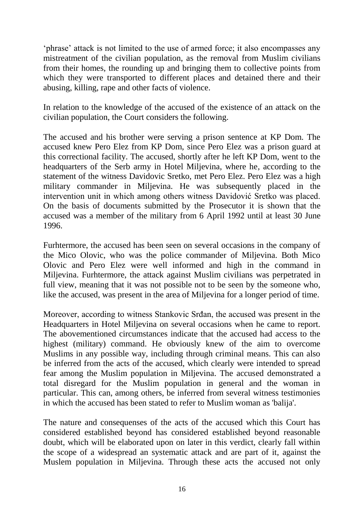'phrase' attack is not limited to the use of armed force; it also encompasses any mistreatment of the civilian population, as the removal from Muslim civilians from their homes, the rounding up and bringing them to collective points from which they were transported to different places and detained there and their abusing, killing, rape and other facts of violence.

In relation to the knowledge of the accused of the existence of an attack on the civilian population, the Court considers the following.

The accused and his brother were serving a prison sentence at KP Dom. The accused knew Pero Elez from KP Dom, since Pero Elez was a prison guard at this correctional facility. The accused, shortly after he left KP Dom, went to the headquarters of the Serb army in Hotel Miljevina, where he, according to the statement of the witness Davidovic Sretko, met Pero Elez. Pero Elez was a high military commander in Miljevina. He was subsequently placed in the intervention unit in which among others witness Davidović Sretko was placed. On the basis of documents submitted by the Prosecutor it is shown that the accused was a member of the military from 6 April 1992 until at least 30 June 1996.

Furhtermore, the accused has been seen on several occasions in the company of the Mico Olovic, who was the police commander of Miljevina. Both Mico Olovic and Pero Elez were well informed and high in the command in Miljevina. Furhtermore, the attack against Muslim civilians was perpetrated in full view, meaning that it was not possible not to be seen by the someone who, like the accused, was present in the area of Miljevina for a longer period of time.

Moreover, according to witness Stankovic Srđan, the accused was present in the Headquarters in Hotel Miljevina on several occasions when he came to report. The abovementioned circumstances indicate that the accused had access to the highest (military) command. He obviously knew of the aim to overcome Muslims in any possible way, including through criminal means. This can also be inferred from the acts of the accused, which clearly were intended to spread fear among the Muslim population in Miljevina. The accused demonstrated a total disregard for the Muslim population in general and the woman in particular. This can, among others, be inferred from several witness testimonies in which the accused has been stated to refer to Muslim woman as 'balija'.

The nature and consequenses of the acts of the accused which this Court has considered established beyond has considered established beyond reasonable doubt, which will be elaborated upon on later in this verdict, clearly fall within the scope of a widespread an systematic attack and are part of it, against the Muslem population in Miljevina. Through these acts the accused not only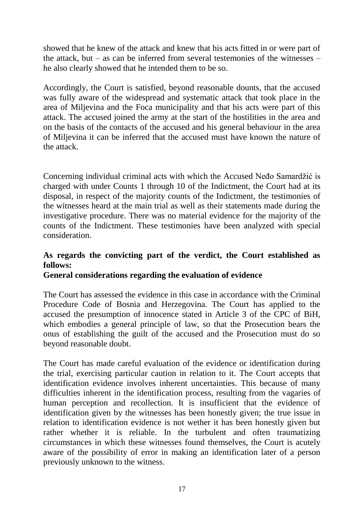showed that he knew of the attack and knew that his acts fitted in or were part of the attack, but – as can be inferred from several testemonies of the witnesses – he also clearly showed that he intended them to be so.

Accordingly, the Court is satisfied, beyond reasonable dounts, that the accused was fully aware of the widespread and systematic attack that took place in the area of Miljevina and the Foca municipality and that his acts were part of this attack. The accused joined the army at the start of the hostilities in the area and on the basis of the contacts of the accused and his general behaviour in the area of Miljevina it can be inferred that the accused must have known the nature of the attack.

Concerning individual criminal acts with which the Accused Neđo Samardžić is charged with under Counts 1 through 10 of the Indictment, the Court had at its disposal, in respect of the majority counts of the Indictment, the testimonies of the witnesses heard at the main trial as well as their statements made during the investigative procedure. There was no material evidence for the majority of the counts of the Indictment. These testimonies have been analyzed with special consideration.

# **As regards the convicting part of the verdict, the Court established as follows:**

#### **General considerations regarding the evaluation of evidence**

The Court has assessed the evidence in this case in accordance with the Criminal Procedure Code of Bosnia and Herzegovina. The Court has applied to the accused the presumption of innocence stated in Article 3 of the CPC of BiH, which embodies a general principle of law, so that the Prosecution bears the onus of establishing the guilt of the accused and the Prosecution must do so beyond reasonable doubt.

The Court has made careful evaluation of the evidence or identification during the trial, exercising particular caution in relation to it. The Court accepts that identification evidence involves inherent uncertainties. This because of many difficulties inherent in the identification process, resulting from the vagaries of human perception and recollection. It is insufficient that the evidence of identification given by the witnesses has been honestly given; the true issue in relation to identification evidence is not wether it has been honestly given but rather whether it is reliable. In the turbulent and often traumatizing circumstances in which these witnesses found themselves, the Court is acutely aware of the possibility of error in making an identification later of a person previously unknown to the witness.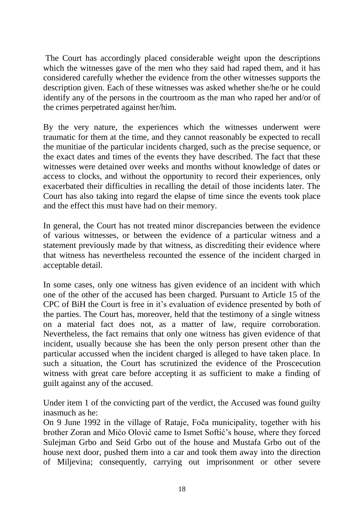The Court has accordingly placed considerable weight upon the descriptions which the witnesses gave of the men who they said had raped them, and it has considered carefully whether the evidence from the other witnesses supports the description given. Each of these witnesses was asked whether she/he or he could identify any of the persons in the courtroom as the man who raped her and/or of the crimes perpetrated against her/him.

By the very nature, the experiences which the witnesses underwent were traumatic for them at the time, and they cannot reasonably be expected to recall the munitiae of the particular incidents charged, such as the precise sequence, or the exact dates and times of the events they have described. The fact that these witnesses were detained over weeks and months without knowledge of dates or access to clocks, and without the opportunity to record their experiences, only exacerbated their difficulties in recalling the detail of those incidents later. The Court has also taking into regard the elapse of time since the events took place and the effect this must have had on their memory.

In general, the Court has not treated minor discrepancies between the evidence of various witnesses, or between the evidence of a particular witness and a statement previously made by that witness, as discrediting their evidence where that witness has nevertheless recounted the essence of the incident charged in acceptable detail.

In some cases, only one witness has given evidence of an incident with which one of the other of the accused has been charged. Pursuant to Article 15 of the CPC of BiH the Court is free in it's evaluation of evidence presented by both of the parties. The Court has, moreover, held that the testimony of a single witness on a material fact does not, as a matter of law, require corroboration. Nevertheless, the fact remains that only one witness has given evidence of that incident, usually because she has been the only person present other than the particular accussed when the incident charged is alleged to have taken place. In such a situation, the Court has scrutinized the evidence of the Proscecution witness with great care before accepting it as sufficient to make a finding of guilt against any of the accused.

Under item 1 of the convicting part of the verdict, the Accused was found guilty inasmuch as he:

On 9 June 1992 in the village of Rataje, Foča municipality, together with his brother Zoran and Mićo Olović came to Ismet Softić's house, where they forced Sulejman Grbo and Seid Grbo out of the house and Mustafa Grbo out of the house next door, pushed them into a car and took them away into the direction of Miljevina; consequently, carrying out imprisonment or other severe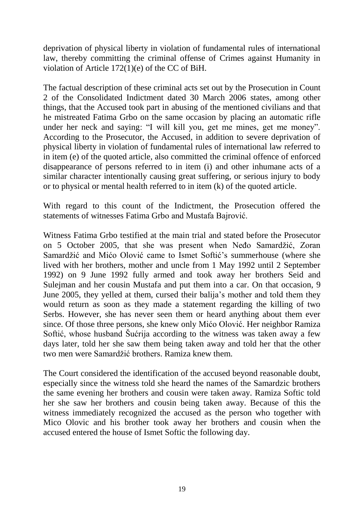deprivation of physical liberty in violation of fundamental rules of international law, thereby committing the criminal offense of Crimes against Humanity in violation of Article 172(1)(e) of the CC of BiH.

The factual description of these criminal acts set out by the Prosecution in Count 2 of the Consolidated Indictment dated 30 March 2006 states, among other things, that the Accused took part in abusing of the mentioned civilians and that he mistreated Fatima Grbo on the same occasion by placing an automatic rifle under her neck and saying: "I will kill you, get me mines, get me money". According to the Prosecutor, the Accused, in addition to severe deprivation of physical liberty in violation of fundamental rules of international law referred to in item (e) of the quoted article, also committed the criminal offence of enforced disappearance of persons referred to in item (i) and other inhumane acts of a similar character intentionally causing great suffering, or serious injury to body or to physical or mental health referred to in item (k) of the quoted article.

With regard to this count of the Indictment, the Prosecution offered the statements of witnesses Fatima Grbo and Mustafa Bajrović.

Witness Fatima Grbo testified at the main trial and stated before the Prosecutor on 5 October 2005, that she was present when Neđo Samardžić, Zoran Samardžić and Mićo Olović came to Ismet Softić's summerhouse (where she lived with her brothers, mother and uncle from 1 May 1992 until 2 September 1992) on 9 June 1992 fully armed and took away her brothers Seid and Sulejman and her cousin Mustafa and put them into a car. On that occasion, 9 June 2005, they yelled at them, cursed their balija's mother and told them they would return as soon as they made a statement regarding the killing of two Serbs. However, she has never seen them or heard anything about them ever since. Of those three persons, she knew only Mićo Olović. Her neighbor Ramiza Softić, whose husband Šućrija according to the witness was taken away a few days later, told her she saw them being taken away and told her that the other two men were Samardžić brothers. Ramiza knew them.

The Court considered the identification of the accused beyond reasonable doubt, especially since the witness told she heard the names of the Samardzic brothers the same evening her brothers and cousin were taken away. Ramiza Softic told her she saw her brothers and cousin being taken away. Because of this the witness immediately recognized the accused as the person who together with Mico Olovic and his brother took away her brothers and cousin when the accused entered the house of Ismet Softic the following day.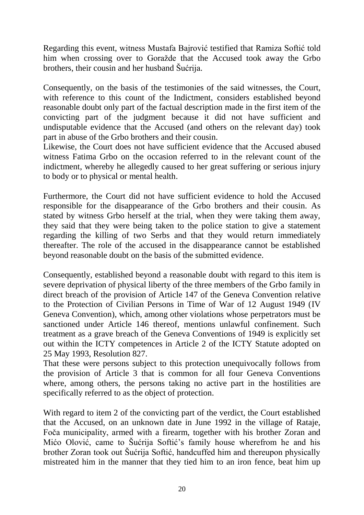Regarding this event, witness Mustafa Bajrović testified that Ramiza Softić told him when crossing over to Goražde that the Accused took away the Grbo brothers, their cousin and her husband Šućrija.

Consequently, on the basis of the testimonies of the said witnesses, the Court, with reference to this count of the Indictment, considers established beyond reasonable doubt only part of the factual description made in the first item of the convicting part of the judgment because it did not have sufficient and undisputable evidence that the Accused (and others on the relevant day) took part in abuse of the Grbo brothers and their cousin.

Likewise, the Court does not have sufficient evidence that the Accused abused witness Fatima Grbo on the occasion referred to in the relevant count of the indictment, whereby he allegedly caused to her great suffering or serious injury to body or to physical or mental health.

Furthermore, the Court did not have sufficient evidence to hold the Accused responsible for the disappearance of the Grbo brothers and their cousin. As stated by witness Grbo herself at the trial, when they were taking them away, they said that they were being taken to the police station to give a statement regarding the killing of two Serbs and that they would return immediately thereafter. The role of the accused in the disappearance cannot be established beyond reasonable doubt on the basis of the submitted evidence.

Consequently, established beyond a reasonable doubt with regard to this item is severe deprivation of physical liberty of the three members of the Grbo family in direct breach of the provision of Article 147 of the Geneva Convention relative to the Protection of Civilian Persons in Time of War of 12 August 1949 (IV Geneva Convention), which, among other violations whose perpetrators must be sanctioned under Article 146 thereof, mentions unlawful confinement. Such treatment as a grave breach of the Geneva Conventions of 1949 is explicitly set out within the ICTY competences in Article 2 of the ICTY Statute adopted on 25 May 1993, Resolution 827.

That these were persons subject to this protection unequivocally follows from the provision of Article 3 that is common for all four Geneva Conventions where, among others, the persons taking no active part in the hostilities are specifically referred to as the object of protection.

With regard to item 2 of the convicting part of the verdict, the Court established that the Accused, on an unknown date in June 1992 in the village of Rataje, Foča municipality, armed with a firearm, together with his brother Zoran and Mićo Olović, came to Šućrija Softić's family house wherefrom he and his brother Zoran took out Šućrija Softić, handcuffed him and thereupon physically mistreated him in the manner that they tied him to an iron fence, beat him up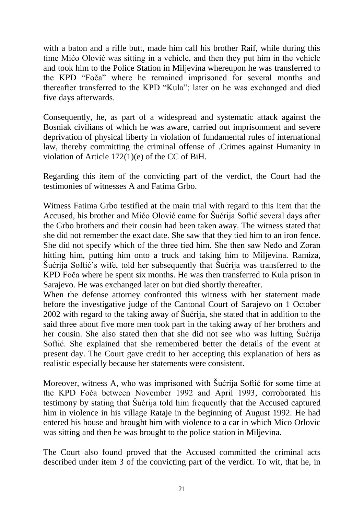with a baton and a rifle butt, made him call his brother Raif, while during this time Mićo Olović was sitting in a vehicle, and then they put him in the vehicle and took him to the Police Station in Miljevina whereupon he was transferred to the KPD "Foča" where he remained imprisoned for several months and thereafter transferred to the KPD "Kula"; later on he was exchanged and died five days afterwards.

Consequently, he, as part of a widespread and systematic attack against the Bosniak civilians of which he was aware, carried out imprisonment and severe deprivation of physical liberty in violation of fundamental rules of international law, thereby committing the criminal offense of .Crimes against Humanity in violation of Article 172(1)(e) of the CC of BiH.

Regarding this item of the convicting part of the verdict, the Court had the testimonies of witnesses A and Fatima Grbo.

Witness Fatima Grbo testified at the main trial with regard to this item that the Accused, his brother and Mićo Olović came for Šućrija Softić several days after the Grbo brothers and their cousin had been taken away. The witness stated that she did not remember the exact date. She saw that they tied him to an iron fence. She did not specify which of the three tied him. She then saw Neđo and Zoran hitting him, putting him onto a truck and taking him to Miljevina. Ramiza, Šućrija Softić's wife, told her subsequently that Šućrija was transferred to the KPD Foča where he spent six months. He was then transferred to Kula prison in Sarajevo. He was exchanged later on but died shortly thereafter.

When the defense attorney confronted this witness with her statement made before the investigative judge of the Cantonal Court of Sarajevo on 1 October 2002 with regard to the taking away of Šućrija, she stated that in addition to the said three about five more men took part in the taking away of her brothers and her cousin. She also stated then that she did not see who was hitting Šućrija Softić. She explained that she remembered better the details of the event at present day. The Court gave credit to her accepting this explanation of hers as realistic especially because her statements were consistent.

Moreover, witness A, who was imprisoned with Šućrija Softić for some time at the KPD Foča between November 1992 and April 1993, corroborated his testimony by stating that Šućrija told him frequently that the Accused captured him in violence in his village Rataje in the beginning of August 1992. He had entered his house and brought him with violence to a car in which Mico Orlovic was sitting and then he was brought to the police station in Miljevina.

The Court also found proved that the Accused committed the criminal acts described under item 3 of the convicting part of the verdict. To wit, that he, in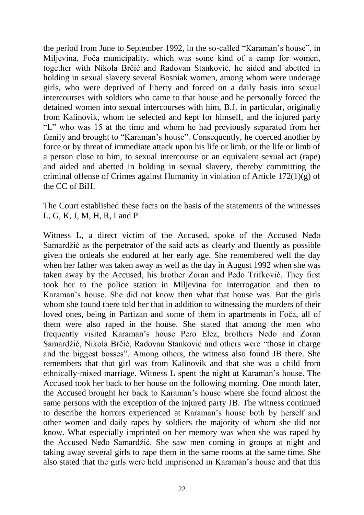the period from June to September 1992, in the so-called "Karaman's house", in Miljevina, Foča municipality, which was some kind of a camp for women, together with Nikola Brčić and Radovan Stanković, he aided and abetted in holding in sexual slavery several Bosniak women, among whom were underage girls, who were deprived of liberty and forced on a daily basis into sexual intercourses with soldiers who came to that house and he personally forced the detained women into sexual intercourses with him, B.J. in particular, originally from Kalinovik, whom he selected and kept for himself, and the injured party "L" who was 15 at the time and whom he had previously separated from her family and brought to "Karaman's house". Consequently, he coerced another by force or by threat of immediate attack upon his life or limb, or the life or limb of a person close to him, to sexual intercourse or an equivalent sexual act (rape) and aided and abetted in holding in sexual slavery, thereby committing the criminal offense of Crimes against Humanity in violation of Article 172(1)(g) of the CC of BiH.

The Court established these facts on the basis of the statements of the witnesses L, G, K, J, M, H, R, I and P.

Witness L, a direct victim of the Accused, spoke of the Accused Neđo Samardžić as the perpetrator of the said acts as clearly and fluently as possible given the ordeals she endured at her early age. She remembered well the day when her father was taken away as well as the day in August 1992 when she was taken away by the Accused, his brother Zoran and Pedo Trifković. They first took her to the police station in Miljevina for interrogation and then to Karaman's house. She did not know then what that house was. But the girls whom she found there told her that in addition to witnessing the murders of their loved ones, being in Partizan and some of them in apartments in Foča, all of them were also raped in the house. She stated that among the men who frequently visited Karaman's house Pero Elez, brothers Neđo and Zoran Samardžić, Nikola Brčić, Radovan Stanković and others were "those in charge and the biggest bosses". Among others, the witness also found JB there. She remembers that that girl was from Kalinovik and that she was a child from ethnically-mixed marriage. Witness L spent the night at Karaman's house. The Accused took her back to her house on the following morning. One month later, the Accused brought her back to Karaman's house where she found almost the same persons with the exception of the injured party JB. The witness continued to describe the horrors experienced at Karaman's house both by herself and other women and daily rapes by soldiers the majority of whom she did not know. What especially imprinted on her memory was when she was raped by the Accused Neđo Samardžić. She saw men coming in groups at night and taking away several girls to rape them in the same rooms at the same time. She also stated that the girls were held imprisoned in Karaman's house and that this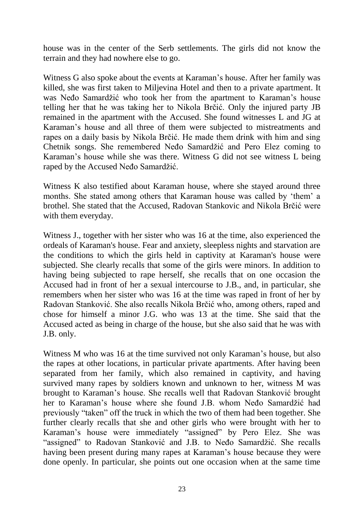house was in the center of the Serb settlements. The girls did not know the terrain and they had nowhere else to go.

Witness G also spoke about the events at Karaman's house. After her family was killed, she was first taken to Miljevina Hotel and then to a private apartment. It was Neđo Samardžić who took her from the apartment to Karaman's house telling her that he was taking her to Nikola Brčić. Only the injured party JB remained in the apartment with the Accused. She found witnesses L and JG at Karaman's house and all three of them were subjected to mistreatments and rapes on a daily basis by Nikola Brčić. He made them drink with him and sing Chetnik songs. She remembered Neđo Samardžić and Pero Elez coming to Karaman's house while she was there. Witness G did not see witness L being raped by the Accused Neđo Samardžić.

Witness K also testified about Karaman house, where she stayed around three months. She stated among others that Karaman house was called by 'them' a brothel. She stated that the Accused, Radovan Stankovic and Nikola Brčić were with them everyday.

Witness J., together with her sister who was 16 at the time, also experienced the ordeals of Karaman's house. Fear and anxiety, sleepless nights and starvation are the conditions to which the girls held in captivity at Karaman's house were subjected. She clearly recalls that some of the girls were minors. In addition to having being subjected to rape herself, she recalls that on one occasion the Accused had in front of her a sexual intercourse to J.B., and, in particular, she remembers when her sister who was 16 at the time was raped in front of her by Radovan Stanković. She also recalls Nikola Brčić who, among others, raped and chose for himself a minor J.G. who was 13 at the time. She said that the Accused acted as being in charge of the house, but she also said that he was with J.B. only.

Witness M who was 16 at the time survived not only Karaman's house, but also the rapes at other locations, in particular private apartments. After having been separated from her family, which also remained in captivity, and having survived many rapes by soldiers known and unknown to her, witness M was brought to Karaman's house. She recalls well that Radovan Stanković brought her to Karaman's house where she found J.B. whom Neđo Samardžić had previously "taken" off the truck in which the two of them had been together. She further clearly recalls that she and other girls who were brought with her to Karaman's house were immediately "assigned" by Pero Elez. She was "assigned" to Radovan Stanković and J.B. to Neđo Samardžić. She recalls having been present during many rapes at Karaman's house because they were done openly. In particular, she points out one occasion when at the same time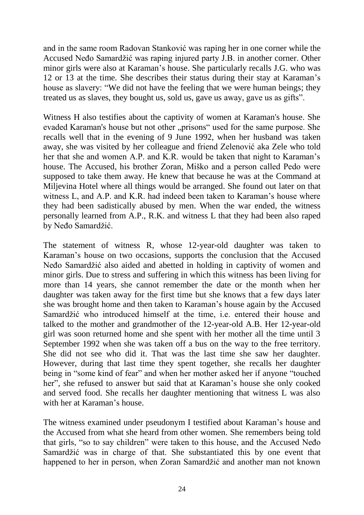and in the same room Radovan Stanković was raping her in one corner while the Accused Neđo Samardžić was raping injured party J.B. in another corner. Other minor girls were also at Karaman's house. She particularly recalls J.G. who was 12 or 13 at the time. She describes their status during their stay at Karaman's house as slavery: "We did not have the feeling that we were human beings; they treated us as slaves, they bought us, sold us, gave us away, gave us as gifts".

Witness H also testifies about the captivity of women at Karaman's house. She evaded Karaman's house but not other "prisons" used for the same purpose. She recalls well that in the evening of 9 June 1992, when her husband was taken away, she was visited by her colleague and friend Zelenović aka Zele who told her that she and women A.P. and K.R. would be taken that night to Karaman's house. The Accused, his brother Zoran, Miško and a person called Pedo were supposed to take them away. He knew that because he was at the Command at Miljevina Hotel where all things would be arranged. She found out later on that witness L, and A.P. and K.R. had indeed been taken to Karaman's house where they had been sadistically abused by men. When the war ended, the witness personally learned from A.P., R.K. and witness L that they had been also raped by Neđo Samardžić.

The statement of witness R, whose 12-year-old daughter was taken to Karaman's house on two occasions, supports the conclusion that the Accused Neđo Samardžić also aided and abetted in holding in captivity of women and minor girls. Due to stress and suffering in which this witness has been living for more than 14 years, she cannot remember the date or the month when her daughter was taken away for the first time but she knows that a few days later she was brought home and then taken to Karaman's house again by the Accused Samardžić who introduced himself at the time, i.e. entered their house and talked to the mother and grandmother of the 12-year-old A.B. Her 12-year-old girl was soon returned home and she spent with her mother all the time until 3 September 1992 when she was taken off a bus on the way to the free territory. She did not see who did it. That was the last time she saw her daughter. However, during that last time they spent together, she recalls her daughter being in "some kind of fear" and when her mother asked her if anyone "touched her", she refused to answer but said that at Karaman's house she only cooked and served food. She recalls her daughter mentioning that witness L was also with her at Karaman's house.

The witness examined under pseudonym I testified about Karaman's house and the Accused from what she heard from other women. She remembers being told that girls, "so to say children" were taken to this house, and the Accused Neđo Samardžić was in charge of that. She substantiated this by one event that happened to her in person, when Zoran Samardžić and another man not known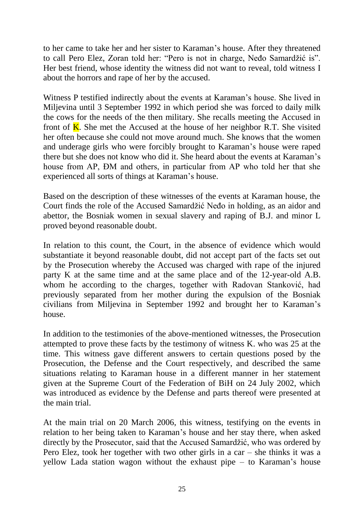to her came to take her and her sister to Karaman's house. After they threatened to call Pero Elez, Zoran told her: "Pero is not in charge, Neđo Samardžić is". Her best friend, whose identity the witness did not want to reveal, told witness I about the horrors and rape of her by the accused.

Witness P testified indirectly about the events at Karaman's house. She lived in Miljevina until 3 September 1992 in which period she was forced to daily milk the cows for the needs of the then military. She recalls meeting the Accused in front of  $\overline{K}$ . She met the Accused at the house of her neighbor R.T. She visited her often because she could not move around much. She knows that the women and underage girls who were forcibly brought to Karaman's house were raped there but she does not know who did it. She heard about the events at Karaman's house from AP, ĐM and others, in particular from AP who told her that she experienced all sorts of things at Karaman's house.

Based on the description of these witnesses of the events at Karaman house, the Court finds the role of the Accused Samardžić Neđo in holding, as an aidor and abettor, the Bosniak women in sexual slavery and raping of B.J. and minor L proved beyond reasonable doubt.

In relation to this count, the Court, in the absence of evidence which would substantiate it beyond reasonable doubt, did not accept part of the facts set out by the Prosecution whereby the Accused was charged with rape of the injured party K at the same time and at the same place and of the 12-year-old A.B. whom he according to the charges, together with Radovan Stanković, had previously separated from her mother during the expulsion of the Bosniak civilians from Miljevina in September 1992 and brought her to Karaman's house.

In addition to the testimonies of the above-mentioned witnesses, the Prosecution attempted to prove these facts by the testimony of witness K. who was 25 at the time. This witness gave different answers to certain questions posed by the Prosecution, the Defense and the Court respectively, and described the same situations relating to Karaman house in a different manner in her statement given at the Supreme Court of the Federation of BiH on 24 July 2002, which was introduced as evidence by the Defense and parts thereof were presented at the main trial.

At the main trial on 20 March 2006, this witness, testifying on the events in relation to her being taken to Karaman's house and her stay there, when asked directly by the Prosecutor, said that the Accused Samardžić, who was ordered by Pero Elez, took her together with two other girls in a car – she thinks it was a yellow Lada station wagon without the exhaust pipe – to Karaman's house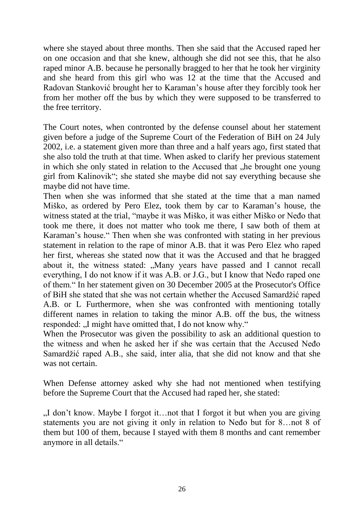where she stayed about three months. Then she said that the Accused raped her on one occasion and that she knew, although she did not see this, that he also raped minor A.B. because he personally bragged to her that he took her virginity and she heard from this girl who was 12 at the time that the Accused and Radovan Stanković brought her to Karaman's house after they forcibly took her from her mother off the bus by which they were supposed to be transferred to the free territory.

The Court notes, when contronted by the defense counsel about her statement given before a judge of the Supreme Court of the Federation of BiH on 24 July 2002, i.e. a statement given more than three and a half years ago, first stated that she also told the truth at that time. When asked to clarify her previous statement in which she only stated in relation to the Accused that "he brought one young girl from Kalinovik"; she stated she maybe did not say everything because she maybe did not have time.

Then when she was informed that she stated at the time that a man named Miško, as ordered by Pero Elez, took them by car to Karaman's house, the witness stated at the trial, "maybe it was Miško, it was either Miško or Neđo that took me there, it does not matter who took me there, I saw both of them at Karaman's house." Then when she was confronted with stating in her previous statement in relation to the rape of minor A.B. that it was Pero Elez who raped her first, whereas she stated now that it was the Accused and that he bragged about it, the witness stated: "Many years have passed and I cannot recall everything, I do not know if it was A.B. or J.G., but I know that Neđo raped one of them." In her statement given on 30 December 2005 at the Prosecutor's Office of BiH she stated that she was not certain whether the Accused Samardžić raped A.B. or L Furthermore, when she was confronted with mentioning totally different names in relation to taking the minor A.B. off the bus, the witness responded: ...I might have omitted that, I do not know why."

When the Prosecutor was given the possibility to ask an additional question to the witness and when he asked her if she was certain that the Accused Neđo Samardžić raped A.B., she said, inter alia, that she did not know and that she was not certain.

When Defense attorney asked why she had not mentioned when testifying before the Supreme Court that the Accused had raped her, she stated:

 $I$ , I don't know. Maybe I forgot it…not that I forgot it but when you are giving statements you are not giving it only in relation to Neđo but for 8…not 8 of them but 100 of them, because I stayed with them 8 months and cant remember anymore in all details."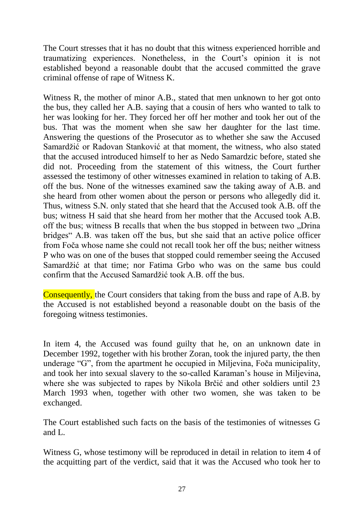The Court stresses that it has no doubt that this witness experienced horrible and traumatizing experiences. Nonetheless, in the Court's opinion it is not established beyond a reasonable doubt that the accused committed the grave criminal offense of rape of Witness K.

Witness R, the mother of minor A.B., stated that men unknown to her got onto the bus, they called her A.B. saying that a cousin of hers who wanted to talk to her was looking for her. They forced her off her mother and took her out of the bus. That was the moment when she saw her daughter for the last time. Answering the questions of the Prosecutor as to whether she saw the Accused Samardžić or Radovan Stanković at that moment, the witness, who also stated that the accused introduced himself to her as Nedo Samardzic before, stated she did not. Proceeding from the statement of this witness, the Court further assessed the testimony of other witnesses examined in relation to taking of A.B. off the bus. None of the witnesses examined saw the taking away of A.B. and she heard from other women about the person or persons who allegedly did it. Thus, witness S.N. only stated that she heard that the Accused took A.B. off the bus; witness H said that she heard from her mother that the Accused took A.B. off the bus; witness B recalls that when the bus stopped in between two .Drina bridges" A.B. was taken off the bus, but she said that an active police officer from Foča whose name she could not recall took her off the bus; neither witness P who was on one of the buses that stopped could remember seeing the Accused Samardžić at that time; nor Fatima Grbo who was on the same bus could confirm that the Accused Samardžić took A.B. off the bus.

Consequently, the Court considers that taking from the buss and rape of A.B. by the Accused is not established beyond a reasonable doubt on the basis of the foregoing witness testimonies.

In item 4, the Accused was found guilty that he, on an unknown date in December 1992, together with his brother Zoran, took the injured party, the then underage "G", from the apartment he occupied in Miljevina, Foča municipality, and took her into sexual slavery to the so-called Karaman's house in Miljevina, where she was subjected to rapes by Nikola Brčić and other soldiers until 23 March 1993 when, together with other two women, she was taken to be exchanged.

The Court established such facts on the basis of the testimonies of witnesses G and L.

Witness G, whose testimony will be reproduced in detail in relation to item 4 of the acquitting part of the verdict, said that it was the Accused who took her to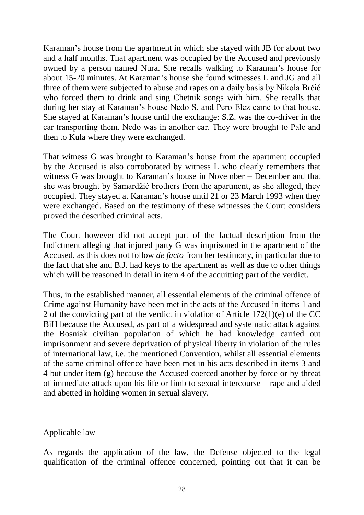Karaman's house from the apartment in which she stayed with JB for about two and a half months. That apartment was occupied by the Accused and previously owned by a person named Nura. She recalls walking to Karaman's house for about 15-20 minutes. At Karaman's house she found witnesses L and JG and all three of them were subjected to abuse and rapes on a daily basis by Nikola Brčić who forced them to drink and sing Chetnik songs with him. She recalls that during her stay at Karaman's house Neđo S. and Pero Elez came to that house. She stayed at Karaman's house until the exchange: S.Z. was the co-driver in the car transporting them. Neđo was in another car. They were brought to Pale and then to Kula where they were exchanged.

That witness G was brought to Karaman's house from the apartment occupied by the Accused is also corroborated by witness L who clearly remembers that witness G was brought to Karaman's house in November – December and that she was brought by Samardžić brothers from the apartment, as she alleged, they occupied. They stayed at Karaman's house until 21 or 23 March 1993 when they were exchanged. Based on the testimony of these witnesses the Court considers proved the described criminal acts.

The Court however did not accept part of the factual description from the Indictment alleging that injured party G was imprisoned in the apartment of the Accused, as this does not follow *de facto* from her testimony, in particular due to the fact that she and B.J. had keys to the apartment as well as due to other things which will be reasoned in detail in item 4 of the acquitting part of the verdict.

Thus, in the established manner, all essential elements of the criminal offence of Crime against Humanity have been met in the acts of the Accused in items 1 and 2 of the convicting part of the verdict in violation of Article 172(1)(e) of the CC BiH because the Accused, as part of a widespread and systematic attack against the Bosniak civilian population of which he had knowledge carried out imprisonment and severe deprivation of physical liberty in violation of the rules of international law, i.e. the mentioned Convention, whilst all essential elements of the same criminal offence have been met in his acts described in items 3 and 4 but under item (g) because the Accused coerced another by force or by threat of immediate attack upon his life or limb to sexual intercourse – rape and aided and abetted in holding women in sexual slavery.

#### Applicable law

As regards the application of the law, the Defense objected to the legal qualification of the criminal offence concerned, pointing out that it can be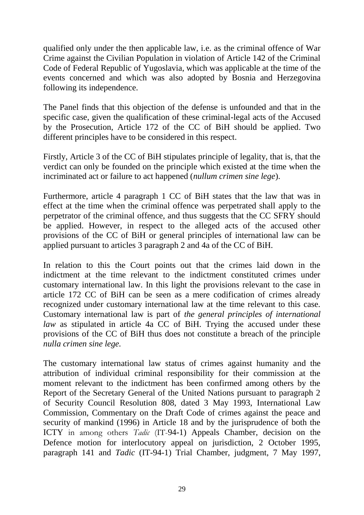qualified only under the then applicable law, i.e. as the criminal offence of War Crime against the Civilian Population in violation of Article 142 of the Criminal Code of Federal Republic of Yugoslavia, which was applicable at the time of the events concerned and which was also adopted by Bosnia and Herzegovina following its independence.

The Panel finds that this objection of the defense is unfounded and that in the specific case, given the qualification of these criminal-legal acts of the Accused by the Prosecution, Article 172 of the CC of BiH should be applied. Two different principles have to be considered in this respect.

Firstly, Article 3 of the CC of BiH stipulates principle of legality, that is, that the verdict can only be founded on the principle which existed at the time when the incriminated act or failure to act happened (*nullum crimen sine lege*).

Furthermore, article 4 paragraph 1 CC of BiH states that the law that was in effect at the time when the criminal offence was perpetrated shall apply to the perpetrator of the criminal offence, and thus suggests that the CC SFRY should be applied. However, in respect to the alleged acts of the accused other provisions of the CC of BiH or general principles of international law can be applied pursuant to articles 3 paragraph 2 and 4a of the CC of BiH.

In relation to this the Court points out that the crimes laid down in the indictment at the time relevant to the indictment constituted crimes under customary international law. In this light the provisions relevant to the case in article 172 CC of BiH can be seen as a mere codification of crimes already recognized under customary international law at the time relevant to this case. Customary international law is part of *the general principles of international law* as stipulated in article 4a CC of BiH. Trying the accused under these provisions of the CC of BiH thus does not constitute a breach of the principle *nulla crimen sine lege.*

The customary international law status of crimes against humanity and the attribution of individual criminal responsibility for their commission at the moment relevant to the indictment has been confirmed among others by the Report of the Secretary General of the United Nations pursuant to paragraph 2 of Security Council Resolution 808, dated 3 May 1993, International Law Commission, Commentary on the Draft Code of crimes against the peace and security of mankind (1996) in Article 18 and by the jurisprudence of both the ICTY in among others *Tadic* (IT-94-1) Appeals Chamber, decision on the Defence motion for interlocutory appeal on jurisdiction, 2 October 1995, paragraph 141 and *Tadic* (IT-94-1) Trial Chamber, judgment, 7 May 1997,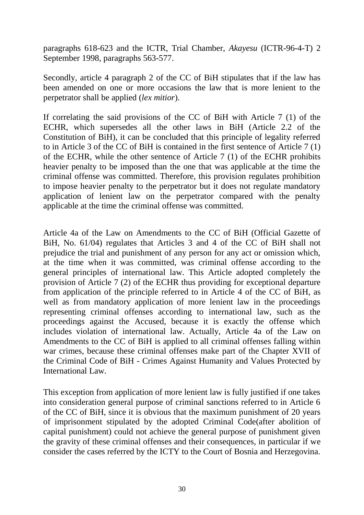paragraphs 618-623 and the ICTR, Trial Chamber, *Akayesu* (ICTR-96-4-T) 2 September 1998, paragraphs 563-577.

Secondly, article 4 paragraph 2 of the CC of BiH stipulates that if the law has been amended on one or more occasions the law that is more lenient to the perpetrator shall be applied (*lex mitior*).

If correlating the said provisions of the CC of BiH with Article 7 (1) of the ECHR, which supersedes all the other laws in BiH (Article 2.2 of the Constitution of BiH), it can be concluded that this principle of legality referred to in Article 3 of the CC of BiH is contained in the first sentence of Article 7 (1) of the ECHR, while the other sentence of Article 7 (1) of the ECHR prohibits heavier penalty to be imposed than the one that was applicable at the time the criminal offense was committed. Therefore, this provision regulates prohibition to impose heavier penalty to the perpetrator but it does not regulate mandatory application of lenient law on the perpetrator compared with the penalty applicable at the time the criminal offense was committed.

Article 4a of the Law on Amendments to the CC of BiH (Official Gazette of BiH, No. 61/04) regulates that Articles 3 and 4 of the CC of BiH shall not prejudice the trial and punishment of any person for any act or omission which, at the time when it was committed, was criminal offense according to the general principles of international law. This Article adopted completely the provision of Article 7 (2) of the ECHR thus providing for exceptional departure from application of the principle referred to in Article 4 of the CC of BiH, as well as from mandatory application of more lenient law in the proceedings representing criminal offenses according to international law, such as the proceedings against the Accused, because it is exactly the offense which includes violation of international law. Actually, Article 4a of the Law on Amendments to the CC of BiH is applied to all criminal offenses falling within war crimes, because these criminal offenses make part of the Chapter XVII of the Criminal Code of BiH - Crimes Against Humanity and Values Protected by International Law.

This exception from application of more lenient law is fully justified if one takes into consideration general purpose of criminal sanctions referred to in Article 6 of the CC of BiH, since it is obvious that the maximum punishment of 20 years of imprisonment stipulated by the adopted Criminal Code(after abolition of capital punishment) could not achieve the general purpose of punishment given the gravity of these criminal offenses and their consequences, in particular if we consider the cases referred by the ICTY to the Court of Bosnia and Herzegovina.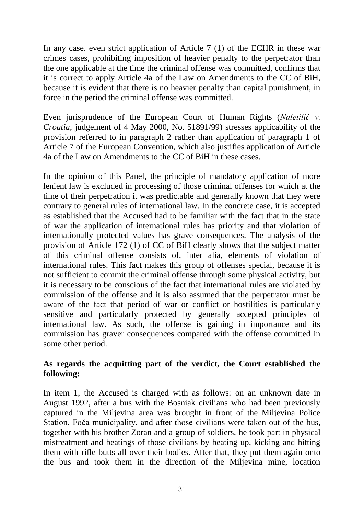In any case, even strict application of Article 7 (1) of the ECHR in these war crimes cases, prohibiting imposition of heavier penalty to the perpetrator than the one applicable at the time the criminal offense was committed, confirms that it is correct to apply Article 4a of the Law on Amendments to the CC of BiH, because it is evident that there is no heavier penalty than capital punishment, in force in the period the criminal offense was committed.

Even jurisprudence of the European Court of Human Rights (*Naletilić v. Croatia*, judgement of 4 May 2000, No. 51891/99) stresses applicability of the provision referred to in paragraph 2 rather than application of paragraph 1 of Article 7 of the European Convention, which also justifies application of Article 4a of the Law on Amendments to the CC of BiH in these cases.

In the opinion of this Panel, the principle of mandatory application of more lenient law is excluded in processing of those criminal offenses for which at the time of their perpetration it was predictable and generally known that they were contrary to general rules of international law. In the concrete case, it is accepted as established that the Accused had to be familiar with the fact that in the state of war the application of international rules has priority and that violation of internationally protected values has grave consequences. The analysis of the provision of Article 172 (1) of CC of BiH clearly shows that the subject matter of this criminal offense consists of, inter alia, elements of violation of international rules. This fact makes this group of offenses special, because it is not sufficient to commit the criminal offense through some physical activity, but it is necessary to be conscious of the fact that international rules are violated by commission of the offense and it is also assumed that the perpetrator must be aware of the fact that period of war or conflict or hostilities is particularly sensitive and particularly protected by generally accepted principles of international law. As such, the offense is gaining in importance and its commission has graver consequences compared with the offense committed in some other period.

# **As regards the acquitting part of the verdict, the Court established the following:**

In item 1, the Accused is charged with as follows: on an unknown date in August 1992, after a bus with the Bosniak civilians who had been previously captured in the Miljevina area was brought in front of the Miljevina Police Station, Foča municipality, and after those civilians were taken out of the bus, together with his brother Zoran and a group of soldiers, he took part in physical mistreatment and beatings of those civilians by beating up, kicking and hitting them with rifle butts all over their bodies. After that, they put them again onto the bus and took them in the direction of the Miljevina mine, location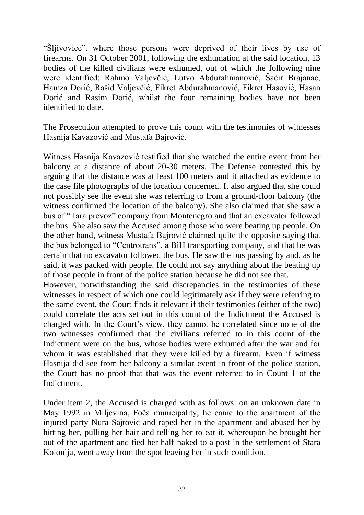"Šljivovice", where those persons were deprived of their lives by use of firearms. On 31 October 2001, following the exhumation at the said location, 13 bodies of the killed civilians were exhumed, out of which the following nine were identified: Rahmo Valjevčić, Lutvo Abdurahmanović, Šaćir Brajanac, Hamza Dorić, Rašid Valjevčić, Fikret Abdurahmanović, Fikret Hasović, Hasan Dorić and Rasim Dorić, whilst the four remaining bodies have not been identified to date.

The Prosecution attempted to prove this count with the testimonies of witnesses Hasnija Kavazović and Mustafa Bajrović.

Witness Hasnija Kavazović testified that she watched the entire event from her balcony at a distance of about 20-30 meters. The Defense contested this by arguing that the distance was at least 100 meters and it attached as evidence to the case file photographs of the location concerned. It also argued that she could not possibly see the event she was referring to from a ground-floor balcony (the witness confirmed the location of the balcony). She also claimed that she saw a bus of "Tara prevoz" company from Montenegro and that an excavator followed the bus. She also saw the Accused among those who were beating up people. On the other hand, witness Mustafa Bajrović claimed quite the opposite saying that the bus belonged to "Centrotrans", a BiH transporting company, and that he was certain that no excavator followed the bus. He saw the bus passing by and, as he said, it was packed with people. He could not say anything about the beating up of those people in front of the police station because he did not see that.

However, notwithstanding the said discrepancies in the testimonies of these witnesses in respect of which one could legitimately ask if they were referring to the same event, the Court finds it relevant if their testimonies (either of the two) could correlate the acts set out in this count of the Indictment the Accused is charged with. In the Court's view, they cannot be correlated since none of the two witnesses confirmed that the civilians referred to in this count of the Indictment were on the bus, whose bodies were exhumed after the war and for whom it was established that they were killed by a firearm. Even if witness Hasnija did see from her balcony a similar event in front of the police station, the Court has no proof that that was the event referred to in Count 1 of the Indictment.

Under item 2, the Accused is charged with as follows: on an unknown date in May 1992 in Miljevina, Foča municipality, he came to the apartment of the injured party Nura Sajtovic and raped her in the apartment and abused her by hitting her, pulling her hair and telling her to eat it, whereupon he brought her out of the apartment and tied her half-naked to a post in the settlement of Stara Kolonija, went away from the spot leaving her in such condition.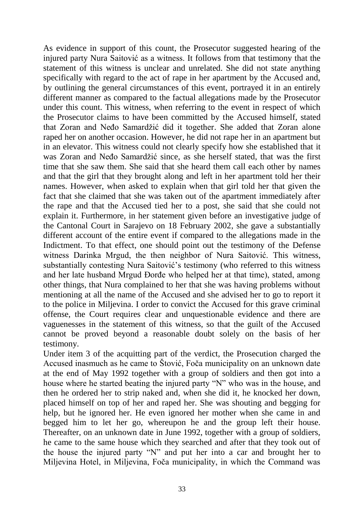As evidence in support of this count, the Prosecutor suggested hearing of the injured party Nura Saitović as a witness. It follows from that testimony that the statement of this witness is unclear and unrelated. She did not state anything specifically with regard to the act of rape in her apartment by the Accused and, by outlining the general circumstances of this event, portrayed it in an entirely different manner as compared to the factual allegations made by the Prosecutor under this count. This witness, when referring to the event in respect of which the Prosecutor claims to have been committed by the Accused himself, stated that Zoran and Neđo Samardžić did it together. She added that Zoran alone raped her on another occasion. However, he did not rape her in an apartment but in an elevator. This witness could not clearly specify how she established that it was Zoran and Neđo Samardžić since, as she herself stated, that was the first time that she saw them. She said that she heard them call each other by names and that the girl that they brought along and left in her apartment told her their names. However, when asked to explain when that girl told her that given the fact that she claimed that she was taken out of the apartment immediately after the rape and that the Accused tied her to a post, she said that she could not explain it. Furthermore, in her statement given before an investigative judge of the Cantonal Court in Sarajevo on 18 February 2002, she gave a substantially different account of the entire event if compared to the allegations made in the Indictment. To that effect, one should point out the testimony of the Defense witness Darinka Mrgud, the then neighbor of Nura Saitović. This witness, substantially contesting Nura Saitović's testimony (who referred to this witness and her late husband Mrgud Đorđe who helped her at that time), stated, among other things, that Nura complained to her that she was having problems without mentioning at all the name of the Accused and she advised her to go to report it to the police in Miljevina. I order to convict the Accused for this grave criminal offense, the Court requires clear and unquestionable evidence and there are vaguenesses in the statement of this witness, so that the guilt of the Accused cannot be proved beyond a reasonable doubt solely on the basis of her testimony.

Under item 3 of the acquitting part of the verdict, the Prosecution charged the Accused inasmuch as he came to Štović, Foča municipality on an unknown date at the end of May 1992 together with a group of soldiers and then got into a house where he started beating the injured party "N" who was in the house, and then he ordered her to strip naked and, when she did it, he knocked her down, placed himself on top of her and raped her. She was shouting and begging for help, but he ignored her. He even ignored her mother when she came in and begged him to let her go, whereupon he and the group left their house. Thereafter, on an unknown date in June 1992, together with a group of soldiers, he came to the same house which they searched and after that they took out of the house the injured party "N" and put her into a car and brought her to Miljevina Hotel, in Miljevina, Foča municipality, in which the Command was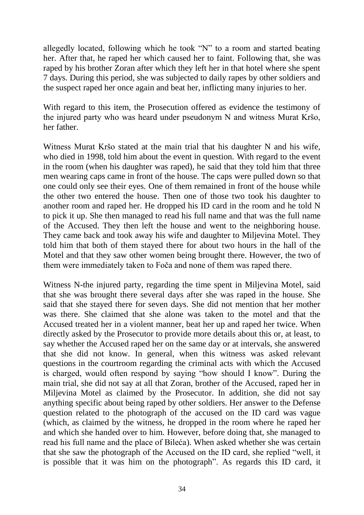allegedly located, following which he took "N" to a room and started beating her. After that, he raped her which caused her to faint. Following that, she was raped by his brother Zoran after which they left her in that hotel where she spent 7 days. During this period, she was subjected to daily rapes by other soldiers and the suspect raped her once again and beat her, inflicting many injuries to her.

With regard to this item, the Prosecution offered as evidence the testimony of the injured party who was heard under pseudonym N and witness Murat Kršo, her father.

Witness Murat Kršo stated at the main trial that his daughter N and his wife, who died in 1998, told him about the event in question. With regard to the event in the room (when his daughter was raped), he said that they told him that three men wearing caps came in front of the house. The caps were pulled down so that one could only see their eyes. One of them remained in front of the house while the other two entered the house. Then one of those two took his daughter to another room and raped her. He dropped his ID card in the room and he told N to pick it up. She then managed to read his full name and that was the full name of the Accused. They then left the house and went to the neighboring house. They came back and took away his wife and daughter to Miljevina Motel. They told him that both of them stayed there for about two hours in the hall of the Motel and that they saw other women being brought there. However, the two of them were immediately taken to Foča and none of them was raped there.

Witness N-the injured party, regarding the time spent in Miljevina Motel, said that she was brought there several days after she was raped in the house. She said that she stayed there for seven days. She did not mention that her mother was there. She claimed that she alone was taken to the motel and that the Accused treated her in a violent manner, beat her up and raped her twice. When directly asked by the Prosecutor to provide more details about this or, at least, to say whether the Accused raped her on the same day or at intervals, she answered that she did not know. In general, when this witness was asked relevant questions in the courtroom regarding the criminal acts with which the Accused is charged, would often respond by saying "how should I know". During the main trial, she did not say at all that Zoran, brother of the Accused, raped her in Miljevina Motel as claimed by the Prosecutor. In addition, she did not say anything specific about being raped by other soldiers. Her answer to the Defense question related to the photograph of the accused on the ID card was vague (which, as claimed by the witness, he dropped in the room where he raped her and which she handed over to him. However, before doing that, she managed to read his full name and the place of Bileća). When asked whether she was certain that she saw the photograph of the Accused on the ID card, she replied "well, it is possible that it was him on the photograph". As regards this ID card, it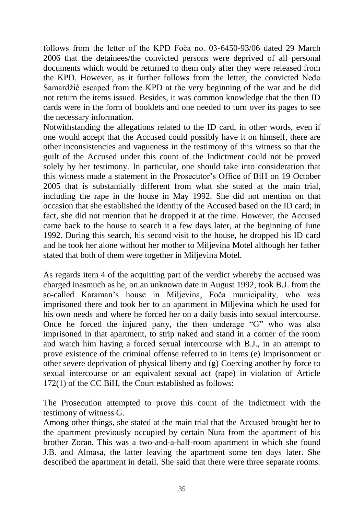follows from the letter of the KPD Foča no. 03-6450-93/06 dated 29 March 2006 that the detainees/the convicted persons were deprived of all personal documents which would be returned to them only after they were released from the KPD. However, as it further follows from the letter, the convicted Neđo Samardžić escaped from the KPD at the very beginning of the war and he did not return the items issued. Besides, it was common knowledge that the then ID cards were in the form of booklets and one needed to turn over its pages to see the necessary information.

Notwithstanding the allegations related to the ID card, in other words, even if one would accept that the Accused could possibly have it on himself, there are other inconsistencies and vagueness in the testimony of this witness so that the guilt of the Accused under this count of the Indictment could not be proved solely by her testimony. In particular, one should take into consideration that this witness made a statement in the Prosecutor's Office of BiH on 19 October 2005 that is substantially different from what she stated at the main trial, including the rape in the house in May 1992. She did not mention on that occasion that she established the identity of the Accused based on the ID card; in fact, she did not mention that he dropped it at the time. However, the Accused came back to the house to search it a few days later, at the beginning of June 1992. During this search, his second visit to the house, he dropped his ID card and he took her alone without her mother to Miljevina Motel although her father stated that both of them were together in Miljevina Motel.

As regards item 4 of the acquitting part of the verdict whereby the accused was charged inasmuch as he, on an unknown date in August 1992, took B.J. from the so-called Karaman's house in Miljevina, Foča municipality, who was imprisoned there and took her to an apartment in Miljevina which he used for his own needs and where he forced her on a daily basis into sexual intercourse. Once he forced the injured party, the then underage "G" who was also imprisoned in that apartment, to strip naked and stand in a corner of the room and watch him having a forced sexual intercourse with B.J., in an attempt to prove existence of the criminal offense referred to in items (e) Imprisonment or other severe deprivation of physical liberty and (g) Coercing another by force to sexual intercourse or an equivalent sexual act (rape) in violation of Article 172(1) of the CC BiH, the Court established as follows:

The Prosecution attempted to prove this count of the Indictment with the testimony of witness G.

Among other things, she stated at the main trial that the Accused brought her to the apartment previously occupied by certain Nura from the apartment of his brother Zoran. This was a two-and-a-half-room apartment in which she found J.B. and Almasa, the latter leaving the apartment some ten days later. She described the apartment in detail. She said that there were three separate rooms.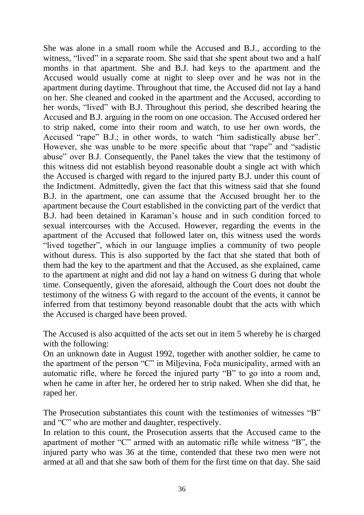She was alone in a small room while the Accused and B.J., according to the witness, "lived" in a separate room. She said that she spent about two and a half months in that apartment. She and B.J. had keys to the apartment and the Accused would usually come at night to sleep over and he was not in the apartment during daytime. Throughout that time, the Accused did not lay a hand on her. She cleaned and cooked in the apartment and the Accused, according to her words, "lived" with B.J. Throughout this period, she described hearing the Accused and B.J. arguing in the room on one occasion. The Accused ordered her to strip naked, come into their room and watch, to use her own words, the Accused "rape" B.J.; in other words, to watch "him sadistically abuse her". However, she was unable to be more specific about that "rape" and "sadistic abuse" over B.J. Consequently, the Panel takes the view that the testimony of this witness did not establish beyond reasonable doubt a single act with which the Accused is charged with regard to the injured party B.J. under this count of the Indictment. Admittedly, given the fact that this witness said that she found B.J. in the apartment, one can assume that the Accused brought her to the apartment because the Court established in the convicting part of the verdict that B.J. had been detained in Karaman's house and in such condition forced to sexual intercourses with the Accused. However, regarding the events in the apartment of the Accused that followed later on, this witness used the words "lived together", which in our language implies a community of two people without duress. This is also supported by the fact that she stated that both of them had the key to the apartment and that the Accused, as she explained, came to the apartment at night and did not lay a hand on witness G during that whole time. Consequently, given the aforesaid, although the Court does not doubt the testimony of the witness G with regard to the account of the events, it cannot be inferred from that testimony beyond reasonable doubt that the acts with which the Accused is charged have been proved.

The Accused is also acquitted of the acts set out in item 5 whereby he is charged with the following:

On an unknown date in August 1992, together with another soldier, he came to the apartment of the person "C" in Miljevina, Foča municipality, armed with an automatic rifle, where he forced the injured party "B" to go into a room and, when he came in after her, he ordered her to strip naked. When she did that, he raped her.

The Prosecution substantiates this count with the testimonies of witnesses "B" and "C" who are mother and daughter, respectively.

In relation to this count, the Prosecution asserts that the Accused came to the apartment of mother "C" armed with an automatic rifle while witness "B", the injured party who was 36 at the time, contended that these two men were not armed at all and that she saw both of them for the first time on that day. She said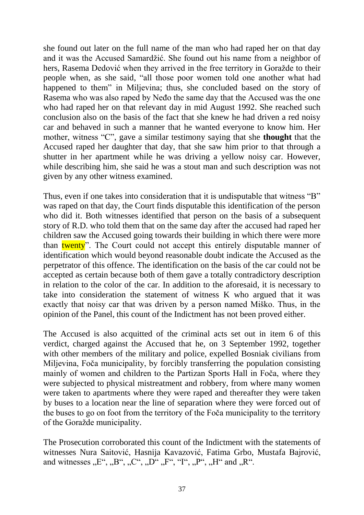she found out later on the full name of the man who had raped her on that day and it was the Accused Samardžić. She found out his name from a neighbor of hers, Rasema Dedović when they arrived in the free territory in Goražde to their people when, as she said, "all those poor women told one another what had happened to them" in Miljevina; thus, she concluded based on the story of Rasema who was also raped by Neđo the same day that the Accused was the one who had raped her on that relevant day in mid August 1992. She reached such conclusion also on the basis of the fact that she knew he had driven a red noisy car and behaved in such a manner that he wanted everyone to know him. Her mother, witness "C", gave a similar testimony saying that she **thought** that the Accused raped her daughter that day, that she saw him prior to that through a shutter in her apartment while he was driving a yellow noisy car. However, while describing him, she said he was a stout man and such description was not given by any other witness examined.

Thus, even if one takes into consideration that it is undisputable that witness "B" was raped on that day, the Court finds disputable this identification of the person who did it. Both witnesses identified that person on the basis of a subsequent story of R.D. who told them that on the same day after the accused had raped her children saw the Accused going towards their building in which there were more than twenty". The Court could not accept this entirely disputable manner of identification which would beyond reasonable doubt indicate the Accused as the perpetrator of this offence. The identification on the basis of the car could not be accepted as certain because both of them gave a totally contradictory description in relation to the color of the car. In addition to the aforesaid, it is necessary to take into consideration the statement of witness K who argued that it was exactly that noisy car that was driven by a person named Miško. Thus, in the opinion of the Panel, this count of the Indictment has not been proved either.

The Accused is also acquitted of the criminal acts set out in item 6 of this verdict, charged against the Accused that he, on 3 September 1992, together with other members of the military and police, expelled Bosniak civilians from Miljevina, Foča municipality, by forcibly transferring the population consisting mainly of women and children to the Partizan Sports Hall in Foča, where they were subjected to physical mistreatment and robbery, from where many women were taken to apartments where they were raped and thereafter they were taken by buses to a location near the line of separation where they were forced out of the buses to go on foot from the territory of the Foča municipality to the territory of the Goražde municipality.

The Prosecution corroborated this count of the Indictment with the statements of witnesses Nura Saitović, Hasnija Kavazović, Fatima Grbo, Mustafa Bajrović, and witnesses  $E^{\prime\prime}$ ,  $B^{\prime\prime}$ ,  $C^{\prime\prime}$ ,  $D^{\prime\prime}$ ,  $F^{\prime\prime}$ ,  $H^{\prime\prime}$ ,  $H^{\prime\prime}$  and  $R^{\prime\prime}$ .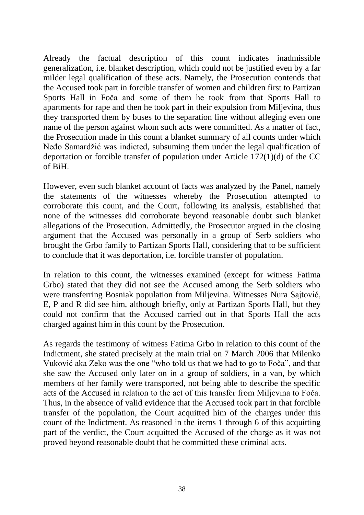Already the factual description of this count indicates inadmissible generalization, i.e. blanket description, which could not be justified even by a far milder legal qualification of these acts. Namely, the Prosecution contends that the Accused took part in forcible transfer of women and children first to Partizan Sports Hall in Foča and some of them he took from that Sports Hall to apartments for rape and then he took part in their expulsion from Miljevina, thus they transported them by buses to the separation line without alleging even one name of the person against whom such acts were committed. As a matter of fact, the Prosecution made in this count a blanket summary of all counts under which Neđo Samardžić was indicted, subsuming them under the legal qualification of deportation or forcible transfer of population under Article 172(1)(d) of the CC of BiH.

However, even such blanket account of facts was analyzed by the Panel, namely the statements of the witnesses whereby the Prosecution attempted to corroborate this count, and the Court, following its analysis, established that none of the witnesses did corroborate beyond reasonable doubt such blanket allegations of the Prosecution. Admittedly, the Prosecutor argued in the closing argument that the Accused was personally in a group of Serb soldiers who brought the Grbo family to Partizan Sports Hall, considering that to be sufficient to conclude that it was deportation, i.e. forcible transfer of population.

In relation to this count, the witnesses examined (except for witness Fatima Grbo) stated that they did not see the Accused among the Serb soldiers who were transferring Bosniak population from Miljevina. Witnesses Nura Sajtović, E, P and R did see him, although briefly, only at Partizan Sports Hall, but they could not confirm that the Accused carried out in that Sports Hall the acts charged against him in this count by the Prosecution.

As regards the testimony of witness Fatima Grbo in relation to this count of the Indictment, she stated precisely at the main trial on 7 March 2006 that Milenko Vuković aka Zeko was the one "who told us that we had to go to Foča", and that she saw the Accused only later on in a group of soldiers, in a van, by which members of her family were transported, not being able to describe the specific acts of the Accused in relation to the act of this transfer from Miljevina to Foča. Thus, in the absence of valid evidence that the Accused took part in that forcible transfer of the population, the Court acquitted him of the charges under this count of the Indictment. As reasoned in the items 1 through 6 of this acquitting part of the verdict, the Court acquitted the Accused of the charge as it was not proved beyond reasonable doubt that he committed these criminal acts.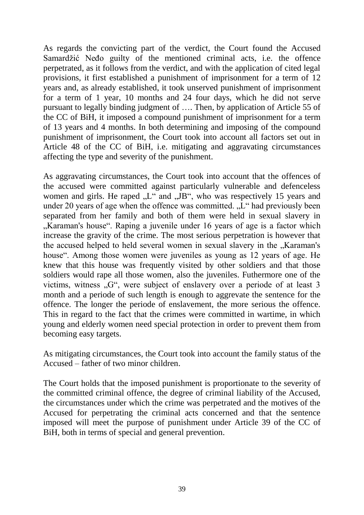As regards the convicting part of the verdict, the Court found the Accused Samardžić Neđo guilty of the mentioned criminal acts, i.e. the offence perpetrated, as it follows from the verdict, and with the application of cited legal provisions, it first established a punishment of imprisonment for a term of 12 years and, as already established, it took unserved punishment of imprisonment for a term of 1 year, 10 months and 24 four days, which he did not serve pursuant to legally binding judgment of …. Then, by application of Article 55 of the CC of BiH, it imposed a compound punishment of imprisonment for a term of 13 years and 4 months. In both determining and imposing of the compound punishment of imprisonment, the Court took into account all factors set out in Article 48 of the CC of BiH, i.e. mitigating and aggravating circumstances affecting the type and severity of the punishment.

As aggravating circumstances, the Court took into account that the offences of the accused were committed against particularly vulnerable and defenceless women and girls. He raped  $L^{\prime\prime}$  and  $L^{\prime\prime}$ , who was respectively 15 years and under 20 years of age when the offence was committed.  $L^{\prime\prime}$  had previously been separated from her family and both of them were held in sexual slavery in "Karaman's house". Raping a juvenile under 16 years of age is a factor which increase the gravity of the crime. The most serious perpetration is however that the accused helped to held several women in sexual slavery in the "Karaman's house". Among those women were juveniles as young as 12 years of age. He knew that this house was frequently visited by other soldiers and that those soldiers would rape all those women, also the juveniles. Futhermore one of the victims, witness  $\mathcal{G}^{\prime\prime}$ , were subject of enslavery over a periode of at least 3 month and a periode of such length is enough to aggrevate the sentence for the offence. The longer the periode of enslavement, the more serious the offence. This in regard to the fact that the crimes were committed in wartime, in which young and elderly women need special protection in order to prevent them from becoming easy targets.

As mitigating circumstances, the Court took into account the family status of the Accused – father of two minor children.

The Court holds that the imposed punishment is proportionate to the severity of the committed criminal offence, the degree of criminal liability of the Accused, the circumstances under which the crime was perpetrated and the motives of the Accused for perpetrating the criminal acts concerned and that the sentence imposed will meet the purpose of punishment under Article 39 of the CC of BiH, both in terms of special and general prevention.